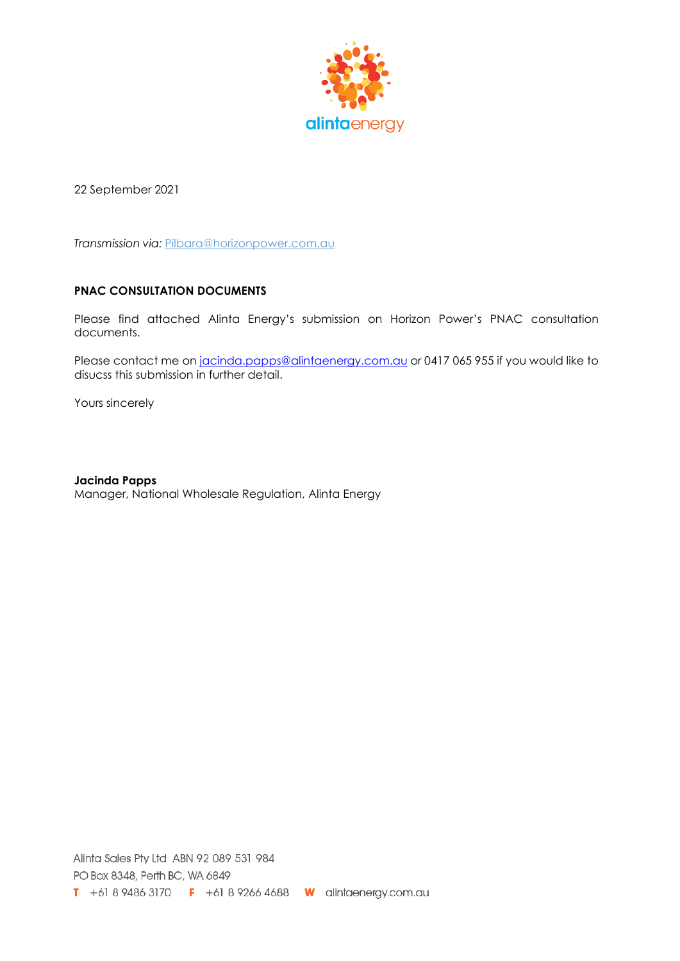

22 September 2021

**Transmission via: [Pilbara@horizonpower.com.au](mailto:Pilbara@horizonpower.com.au)** 

## **PNAC CONSULTATION DOCUMENTS**

Please find attached Alinta Energy's submission on Horizon Power's PNAC consultation documents.

Please contact me on [jacinda.papps@alintaenergy.com.au](mailto:jacinda.papps@alintaenergy.com.au) or 0417 065 955 if you would like to disucss this submission in further detail.

Yours sincerely

**Jacinda Papps** Manager, National Wholesale Regulation, Alinta Energy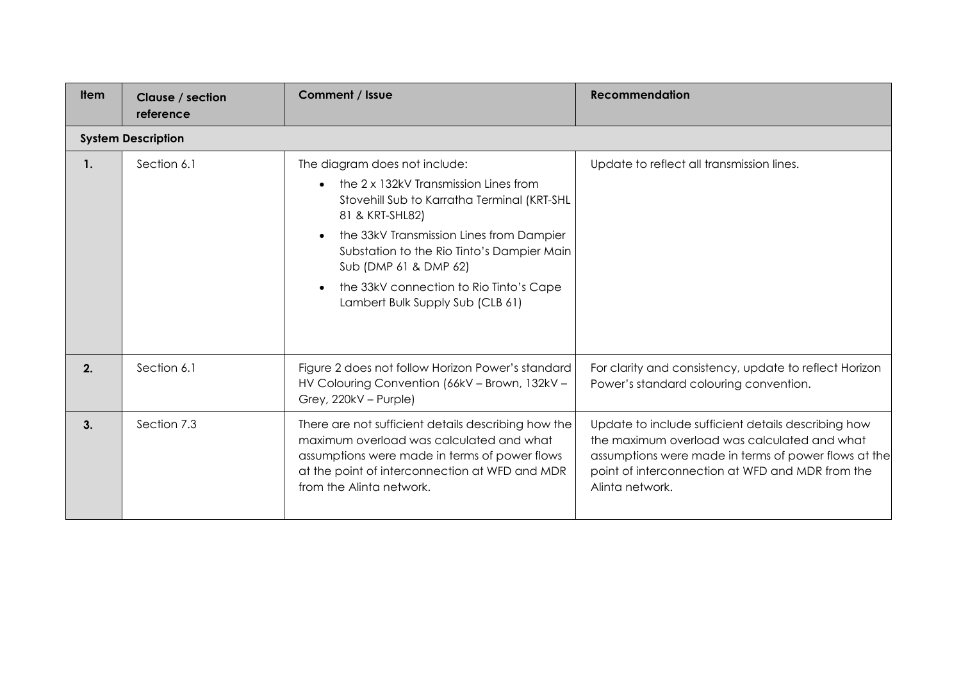| <b>Item</b>    | Clause / section<br>reference | <b>Comment / Issue</b>                                                                                                                                                                                                                                                                                                                     | <b>Recommendation</b>                                                                                                                                                                                                              |
|----------------|-------------------------------|--------------------------------------------------------------------------------------------------------------------------------------------------------------------------------------------------------------------------------------------------------------------------------------------------------------------------------------------|------------------------------------------------------------------------------------------------------------------------------------------------------------------------------------------------------------------------------------|
|                | <b>System Description</b>     |                                                                                                                                                                                                                                                                                                                                            |                                                                                                                                                                                                                                    |
| $\mathbf{1}$ . | Section 6.1                   | The diagram does not include:<br>the 2 x 132kV Transmission Lines from<br>Stovehill Sub to Karratha Terminal (KRT-SHL<br>81 & KRT-SHL82)<br>the 33kV Transmission Lines from Dampier<br>Substation to the Rio Tinto's Dampier Main<br>Sub (DMP 61 & DMP 62)<br>the 33kV connection to Rio Tinto's Cape<br>Lambert Bulk Supply Sub (CLB 61) | Update to reflect all transmission lines.                                                                                                                                                                                          |
| 2.             | Section 6.1                   | Figure 2 does not follow Horizon Power's standard<br>HV Colouring Convention (66kV - Brown, 132kV -<br>Grey, 220kV - Purple)                                                                                                                                                                                                               | For clarity and consistency, update to reflect Horizon<br>Power's standard colouring convention.                                                                                                                                   |
| 3.             | Section 7.3                   | There are not sufficient details describing how the<br>maximum overload was calculated and what<br>assumptions were made in terms of power flows<br>at the point of interconnection at WFD and MDR<br>from the Alinta network.                                                                                                             | Update to include sufficient details describing how<br>the maximum overload was calculated and what<br>assumptions were made in terms of power flows at the<br>point of interconnection at WFD and MDR from the<br>Alinta network. |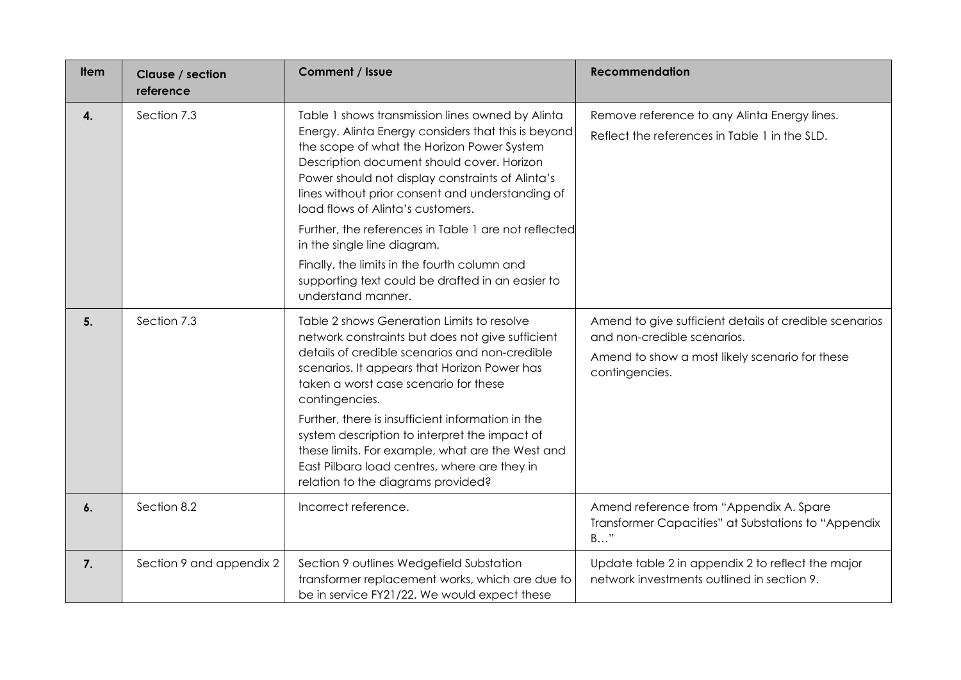| <b>Item</b> | Clause / section<br>reference | Comment / Issue                                                                                                                                                                                                                                                                                                                                                                                                                                                                                                                                                   | <b>Recommendation</b>                                                                                                                                     |
|-------------|-------------------------------|-------------------------------------------------------------------------------------------------------------------------------------------------------------------------------------------------------------------------------------------------------------------------------------------------------------------------------------------------------------------------------------------------------------------------------------------------------------------------------------------------------------------------------------------------------------------|-----------------------------------------------------------------------------------------------------------------------------------------------------------|
| 4.          | Section 7.3                   | Table 1 shows transmission lines owned by Alinta<br>Energy. Alinta Energy considers that this is beyond<br>the scope of what the Horizon Power System<br>Description document should cover. Horizon<br>Power should not display constraints of Alinta's<br>lines without prior consent and understanding of<br>load flows of Alinta's customers.<br>Further, the references in Table 1 are not reflected<br>in the single line diagram.<br>Finally, the limits in the fourth column and<br>supporting text could be drafted in an easier to<br>understand manner. | Remove reference to any Alinta Energy lines.<br>Reflect the references in Table 1 in the SLD.                                                             |
| 5.          | Section 7.3                   | Table 2 shows Generation Limits to resolve<br>network constraints but does not give sufficient<br>details of credible scenarios and non-credible<br>scenarios. It appears that Horizon Power has<br>taken a worst case scenario for these<br>contingencies.<br>Further, there is insufficient information in the<br>system description to interpret the impact of<br>these limits. For example, what are the West and<br>East Pilbara load centres, where are they in<br>relation to the diagrams provided?                                                       | Amend to give sufficient details of credible scenarios<br>and non-credible scenarios.<br>Amend to show a most likely scenario for these<br>contingencies. |
| 6.          | Section 8.2                   | Incorrect reference.                                                                                                                                                                                                                                                                                                                                                                                                                                                                                                                                              | Amend reference from "Appendix A. Spare<br>Transformer Capacities" at Substations to "Appendix<br>$B$ "                                                   |
| 7.          | Section 9 and appendix 2      | Section 9 outlines Wedgefield Substation<br>transformer replacement works, which are due to<br>be in service FY21/22. We would expect these                                                                                                                                                                                                                                                                                                                                                                                                                       | Update table 2 in appendix 2 to reflect the major<br>network investments outlined in section 9.                                                           |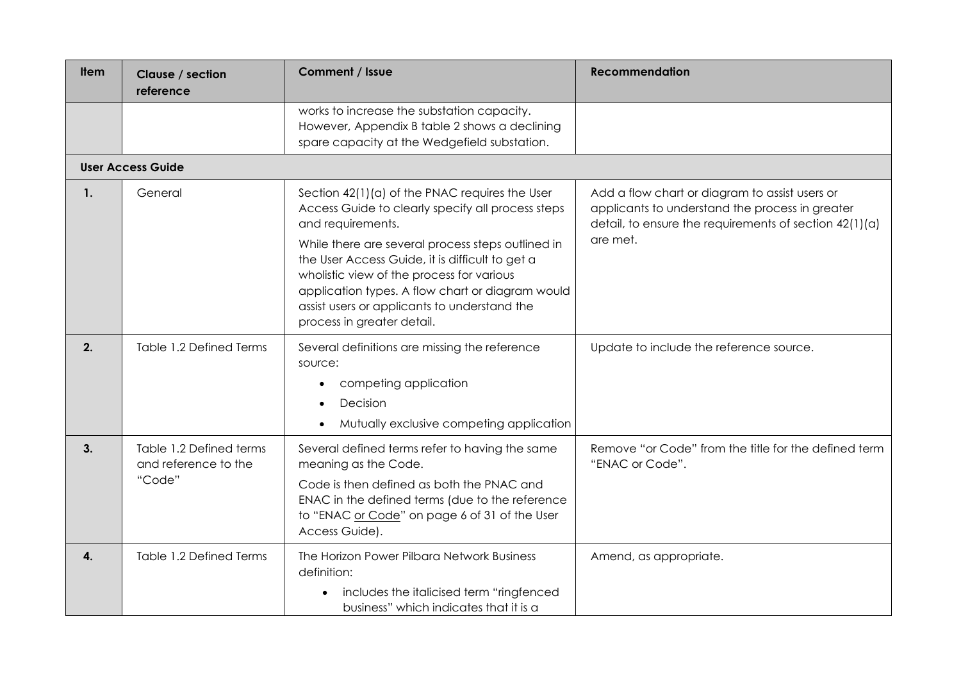| ltem | Clause / section<br>reference                             | Comment / Issue                                                                                                                                                                                                                                                                                                                                                                                                 | <b>Recommendation</b>                                                                                                                                                     |
|------|-----------------------------------------------------------|-----------------------------------------------------------------------------------------------------------------------------------------------------------------------------------------------------------------------------------------------------------------------------------------------------------------------------------------------------------------------------------------------------------------|---------------------------------------------------------------------------------------------------------------------------------------------------------------------------|
|      |                                                           | works to increase the substation capacity.<br>However, Appendix B table 2 shows a declining<br>spare capacity at the Wedgefield substation.                                                                                                                                                                                                                                                                     |                                                                                                                                                                           |
|      | <b>User Access Guide</b>                                  |                                                                                                                                                                                                                                                                                                                                                                                                                 |                                                                                                                                                                           |
| 1.   | General                                                   | Section 42(1)(a) of the PNAC requires the User<br>Access Guide to clearly specify all process steps<br>and requirements.<br>While there are several process steps outlined in<br>the User Access Guide, it is difficult to get a<br>wholistic view of the process for various<br>application types. A flow chart or diagram would<br>assist users or applicants to understand the<br>process in greater detail. | Add a flow chart or diagram to assist users or<br>applicants to understand the process in greater<br>detail, to ensure the requirements of section $42(1)(a)$<br>are met. |
| 2.   | Table 1.2 Defined Terms                                   | Several definitions are missing the reference<br>source:<br>competing application<br>Decision<br>Mutually exclusive competing application                                                                                                                                                                                                                                                                       | Update to include the reference source.                                                                                                                                   |
| 3.   | Table 1.2 Defined terms<br>and reference to the<br>"Code" | Several defined terms refer to having the same<br>meaning as the Code.<br>Code is then defined as both the PNAC and<br>ENAC in the defined terms (due to the reference<br>to "ENAC or Code" on page 6 of 31 of the User<br>Access Guide).                                                                                                                                                                       | Remove "or Code" from the title for the defined term<br>"ENAC or Code".                                                                                                   |
| 4.   | Table 1.2 Defined Terms                                   | The Horizon Power Pilbara Network Business<br>definition:<br>includes the italicised term "ringfenced<br>$\bullet$<br>business" which indicates that it is a                                                                                                                                                                                                                                                    | Amend, as appropriate.                                                                                                                                                    |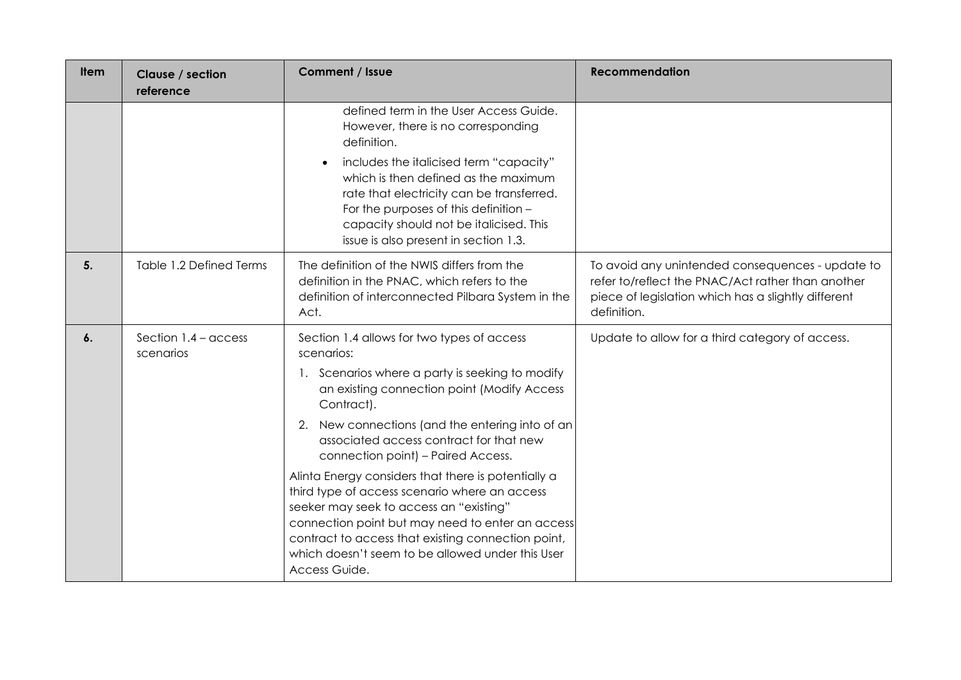| ltem               | Clause / section<br>reference       | Comment / Issue                                                                                                                                                                                                                                                                                                                                                                                                                                                                                                                                                                                                                                | <b>Recommendation</b>                                                                                                                                                       |
|--------------------|-------------------------------------|------------------------------------------------------------------------------------------------------------------------------------------------------------------------------------------------------------------------------------------------------------------------------------------------------------------------------------------------------------------------------------------------------------------------------------------------------------------------------------------------------------------------------------------------------------------------------------------------------------------------------------------------|-----------------------------------------------------------------------------------------------------------------------------------------------------------------------------|
|                    |                                     | defined term in the User Access Guide.<br>However, there is no corresponding<br>definition.<br>includes the italicised term "capacity"<br>which is then defined as the maximum<br>rate that electricity can be transferred.<br>For the purposes of this definition -<br>capacity should not be italicised. This<br>issue is also present in section 1.3.                                                                                                                                                                                                                                                                                       |                                                                                                                                                                             |
| 5.                 | Table 1.2 Defined Terms             | The definition of the NWIS differs from the<br>definition in the PNAC, which refers to the<br>definition of interconnected Pilbara System in the<br>Act.                                                                                                                                                                                                                                                                                                                                                                                                                                                                                       | To avoid any unintended consequences - update to<br>refer to/reflect the PNAC/Act rather than another<br>piece of legislation which has a slightly different<br>definition. |
| $\boldsymbol{6}$ . | Section $1.4 -$ access<br>scenarios | Section 1.4 allows for two types of access<br>scenarios:<br>1. Scenarios where a party is seeking to modify<br>an existing connection point (Modify Access<br>Contract).<br>2. New connections (and the entering into of an<br>associated access contract for that new<br>connection point) - Paired Access.<br>Alinta Energy considers that there is potentially a<br>third type of access scenario where an access<br>seeker may seek to access an "existing"<br>connection point but may need to enter an access<br>contract to access that existing connection point,<br>which doesn't seem to be allowed under this User<br>Access Guide. | Update to allow for a third category of access.                                                                                                                             |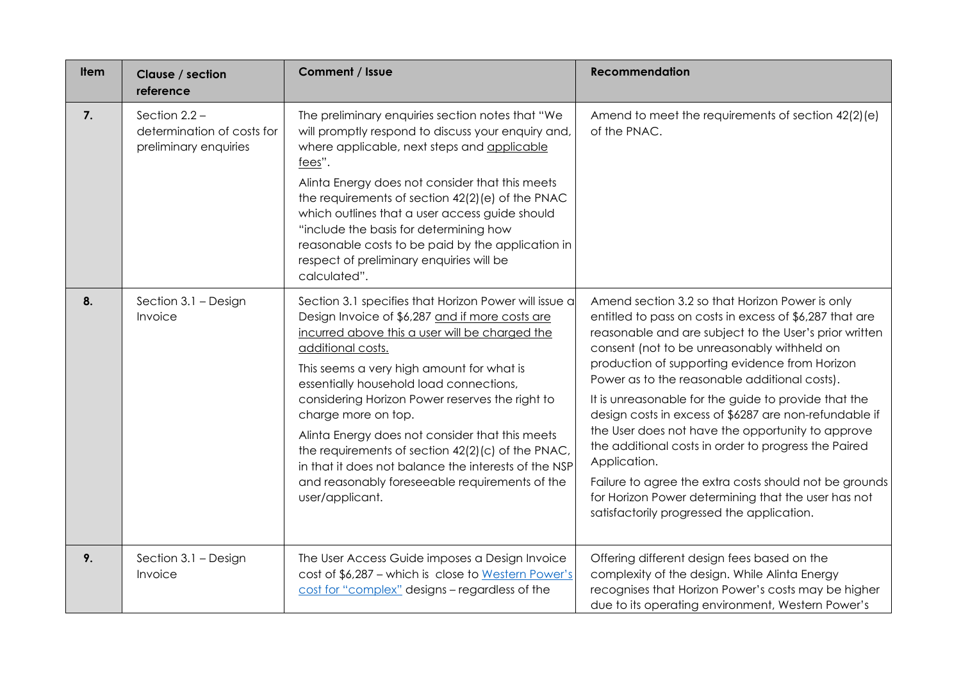| <b>Item</b> | Clause / section<br>reference                                          | Comment / Issue                                                                                                                                                                                                                                                                                                                                                                                                                                                                                                                                                                        | <b>Recommendation</b>                                                                                                                                                                                                                                                                                                                                                                                                                                                                                                                                                                                                                                                                                                                |
|-------------|------------------------------------------------------------------------|----------------------------------------------------------------------------------------------------------------------------------------------------------------------------------------------------------------------------------------------------------------------------------------------------------------------------------------------------------------------------------------------------------------------------------------------------------------------------------------------------------------------------------------------------------------------------------------|--------------------------------------------------------------------------------------------------------------------------------------------------------------------------------------------------------------------------------------------------------------------------------------------------------------------------------------------------------------------------------------------------------------------------------------------------------------------------------------------------------------------------------------------------------------------------------------------------------------------------------------------------------------------------------------------------------------------------------------|
| 7.          | Section $2.2 -$<br>determination of costs for<br>preliminary enquiries | The preliminary enquiries section notes that "We<br>will promptly respond to discuss your enquiry and<br>where applicable, next steps and applicable<br>fees".<br>Alinta Energy does not consider that this meets<br>the requirements of section 42(2)(e) of the PNAC<br>which outlines that a user access guide should<br>"include the basis for determining how<br>reasonable costs to be paid by the application in<br>respect of preliminary enquiries will be<br>calculated".                                                                                                     | Amend to meet the requirements of section 42(2)(e)<br>of the PNAC.                                                                                                                                                                                                                                                                                                                                                                                                                                                                                                                                                                                                                                                                   |
| 8.          | Section 3.1 - Design<br>Invoice                                        | Section 3.1 specifies that Horizon Power will issue a<br>Design Invoice of \$6,287 and if more costs are<br>incurred above this a user will be charged the<br>additional costs.<br>This seems a very high amount for what is<br>essentially household load connections,<br>considering Horizon Power reserves the right to<br>charge more on top.<br>Alinta Energy does not consider that this meets<br>the requirements of section 42(2)(c) of the PNAC,<br>in that it does not balance the interests of the NSP<br>and reasonably foreseeable requirements of the<br>user/applicant. | Amend section 3.2 so that Horizon Power is only<br>entitled to pass on costs in excess of \$6,287 that are<br>reasonable and are subject to the User's prior written<br>consent (not to be unreasonably withheld on<br>production of supporting evidence from Horizon<br>Power as to the reasonable additional costs).<br>It is unreasonable for the guide to provide that the<br>design costs in excess of \$6287 are non-refundable if<br>the User does not have the opportunity to approve<br>the additional costs in order to progress the Paired<br>Application.<br>Failure to agree the extra costs should not be grounds<br>for Horizon Power determining that the user has not<br>satisfactorily progressed the application. |
| 9.          | Section 3.1 - Design<br>Invoice                                        | The User Access Guide imposes a Design Invoice<br>cost of \$6,287 - which is close to Western Power's<br>cost for "complex" designs - regardless of the                                                                                                                                                                                                                                                                                                                                                                                                                                | Offering different design fees based on the<br>complexity of the design. While Alinta Energy<br>recognises that Horizon Power's costs may be higher<br>due to its operating environment, Western Power's                                                                                                                                                                                                                                                                                                                                                                                                                                                                                                                             |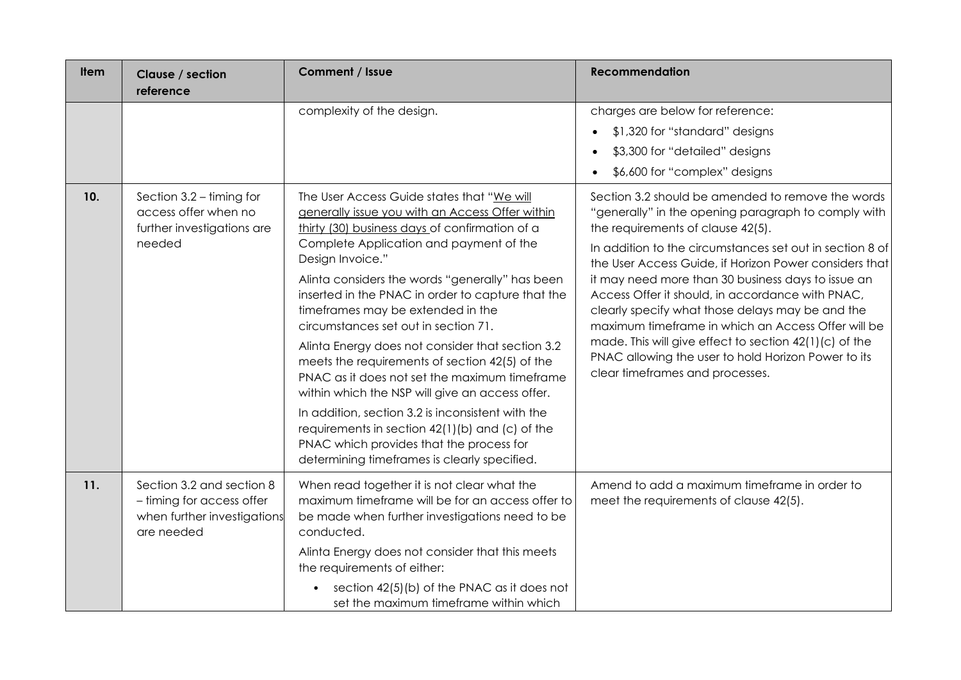| <b>Item</b> | Clause / section<br>reference                                                                       | Comment / Issue                                                                                                                                                                                                                                                                                                                                                                                                                                                                                                                                                                                                                                                                                                                                                                                                   | <b>Recommendation</b>                                                                                                                                                                                                                                                                                                                                                                                                                                                                                                                                                                                                                       |
|-------------|-----------------------------------------------------------------------------------------------------|-------------------------------------------------------------------------------------------------------------------------------------------------------------------------------------------------------------------------------------------------------------------------------------------------------------------------------------------------------------------------------------------------------------------------------------------------------------------------------------------------------------------------------------------------------------------------------------------------------------------------------------------------------------------------------------------------------------------------------------------------------------------------------------------------------------------|---------------------------------------------------------------------------------------------------------------------------------------------------------------------------------------------------------------------------------------------------------------------------------------------------------------------------------------------------------------------------------------------------------------------------------------------------------------------------------------------------------------------------------------------------------------------------------------------------------------------------------------------|
|             |                                                                                                     | complexity of the design.                                                                                                                                                                                                                                                                                                                                                                                                                                                                                                                                                                                                                                                                                                                                                                                         | charges are below for reference:<br>\$1,320 for "standard" designs<br>\$3,300 for "detailed" designs<br>\$6,600 for "complex" designs                                                                                                                                                                                                                                                                                                                                                                                                                                                                                                       |
| 10.         | Section $3.2 -$ timing for<br>access offer when no<br>further investigations are<br>needed          | The User Access Guide states that "We will<br>generally issue you with an Access Offer within<br>thirty (30) business days of confirmation of a<br>Complete Application and payment of the<br>Design Invoice."<br>Alinta considers the words "generally" has been<br>inserted in the PNAC in order to capture that the<br>timeframes may be extended in the<br>circumstances set out in section 71.<br>Alinta Energy does not consider that section 3.2<br>meets the requirements of section 42(5) of the<br>PNAC as it does not set the maximum timeframe<br>within which the NSP will give an access offer.<br>In addition, section 3.2 is inconsistent with the<br>requirements in section 42(1)(b) and (c) of the<br>PNAC which provides that the process for<br>determining timeframes is clearly specified. | Section 3.2 should be amended to remove the words<br>"generally" in the opening paragraph to comply with<br>the requirements of clause 42(5).<br>In addition to the circumstances set out in section 8 of<br>the User Access Guide, if Horizon Power considers that<br>it may need more than 30 business days to issue an<br>Access Offer it should, in accordance with PNAC,<br>clearly specify what those delays may be and the<br>maximum timeframe in which an Access Offer will be<br>made. This will give effect to section 42(1)(c) of the<br>PNAC allowing the user to hold Horizon Power to its<br>clear timeframes and processes. |
| 11.         | Section 3.2 and section 8<br>- timing for access offer<br>when further investigations<br>are needed | When read together it is not clear what the<br>maximum timeframe will be for an access offer to<br>be made when further investigations need to be<br>conducted.<br>Alinta Energy does not consider that this meets<br>the requirements of either:<br>section 42(5)(b) of the PNAC as it does not<br>$\bullet$<br>set the maximum timeframe within which                                                                                                                                                                                                                                                                                                                                                                                                                                                           | Amend to add a maximum timeframe in order to<br>meet the requirements of clause 42(5).                                                                                                                                                                                                                                                                                                                                                                                                                                                                                                                                                      |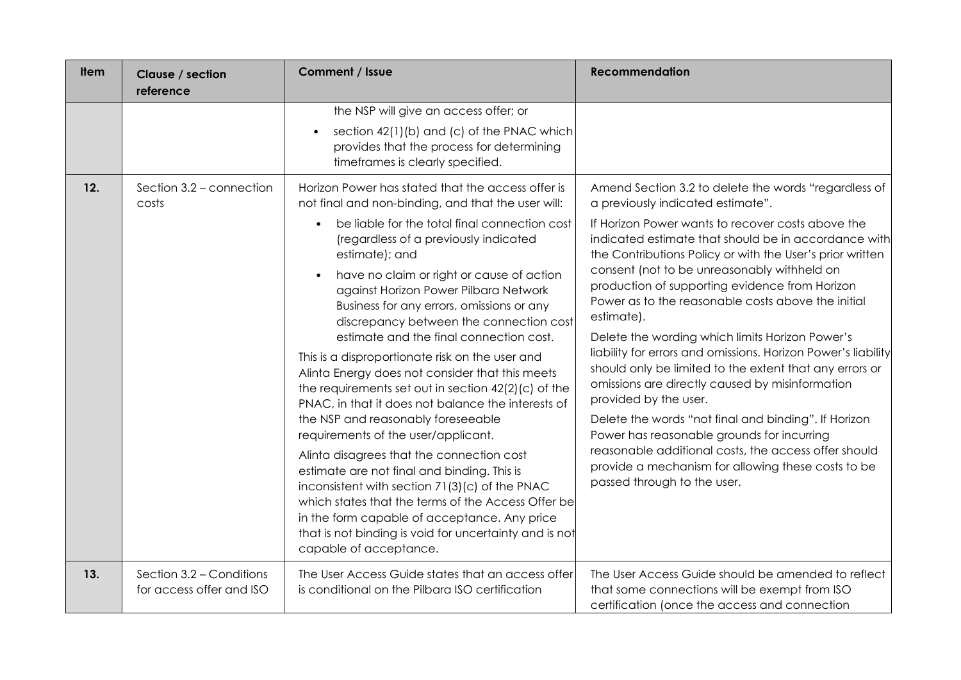| <b>Item</b> | Clause / section<br>reference                        | Comment / Issue                                                                                                                                                                                                                                                                                                                                                                                                                                                                                                                                                                                                                                                                                                                                                                                                                                                                                                                                                                                                                                                                      | <b>Recommendation</b>                                                                                                                                                                                                                                                                                                                                                                                                                                                                                                                                                                                                                                                                                                                                                                                                                                                                                                                                  |
|-------------|------------------------------------------------------|--------------------------------------------------------------------------------------------------------------------------------------------------------------------------------------------------------------------------------------------------------------------------------------------------------------------------------------------------------------------------------------------------------------------------------------------------------------------------------------------------------------------------------------------------------------------------------------------------------------------------------------------------------------------------------------------------------------------------------------------------------------------------------------------------------------------------------------------------------------------------------------------------------------------------------------------------------------------------------------------------------------------------------------------------------------------------------------|--------------------------------------------------------------------------------------------------------------------------------------------------------------------------------------------------------------------------------------------------------------------------------------------------------------------------------------------------------------------------------------------------------------------------------------------------------------------------------------------------------------------------------------------------------------------------------------------------------------------------------------------------------------------------------------------------------------------------------------------------------------------------------------------------------------------------------------------------------------------------------------------------------------------------------------------------------|
|             |                                                      | the NSP will give an access offer; or<br>section 42(1)(b) and (c) of the PNAC which<br>$\bullet$<br>provides that the process for determining<br>timeframes is clearly specified.                                                                                                                                                                                                                                                                                                                                                                                                                                                                                                                                                                                                                                                                                                                                                                                                                                                                                                    |                                                                                                                                                                                                                                                                                                                                                                                                                                                                                                                                                                                                                                                                                                                                                                                                                                                                                                                                                        |
| 12.         | Section 3.2 - connection<br>costs                    | Horizon Power has stated that the access offer is<br>not final and non-binding, and that the user will:<br>be liable for the total final connection cost<br>(regardless of a previously indicated<br>estimate); and<br>have no claim or right or cause of action<br>against Horizon Power Pilbara Network<br>Business for any errors, omissions or any<br>discrepancy between the connection cost<br>estimate and the final connection cost.<br>This is a disproportionate risk on the user and<br>Alinta Energy does not consider that this meets<br>the requirements set out in section 42(2)(c) of the<br>PNAC, in that it does not balance the interests of<br>the NSP and reasonably foreseeable<br>requirements of the user/applicant.<br>Alinta disagrees that the connection cost<br>estimate are not final and binding. This is<br>inconsistent with section 71(3)(c) of the PNAC<br>which states that the terms of the Access Offer be<br>in the form capable of acceptance. Any price<br>that is not binding is void for uncertainty and is not<br>capable of acceptance. | Amend Section 3.2 to delete the words "regardless of<br>a previously indicated estimate".<br>If Horizon Power wants to recover costs above the<br>indicated estimate that should be in accordance with<br>the Contributions Policy or with the User's prior written<br>consent (not to be unreasonably withheld on<br>production of supporting evidence from Horizon<br>Power as to the reasonable costs above the initial<br>estimate).<br>Delete the wording which limits Horizon Power's<br>liability for errors and omissions. Horizon Power's liability<br>should only be limited to the extent that any errors or<br>omissions are directly caused by misinformation<br>provided by the user.<br>Delete the words "not final and binding". If Horizon<br>Power has reasonable grounds for incurring<br>reasonable additional costs, the access offer should<br>provide a mechanism for allowing these costs to be<br>passed through to the user. |
| 13.         | Section 3.2 - Conditions<br>for access offer and ISO | The User Access Guide states that an access offer<br>is conditional on the Pilbara ISO certification                                                                                                                                                                                                                                                                                                                                                                                                                                                                                                                                                                                                                                                                                                                                                                                                                                                                                                                                                                                 | The User Access Guide should be amended to reflect<br>that some connections will be exempt from ISO<br>certification (once the access and connection                                                                                                                                                                                                                                                                                                                                                                                                                                                                                                                                                                                                                                                                                                                                                                                                   |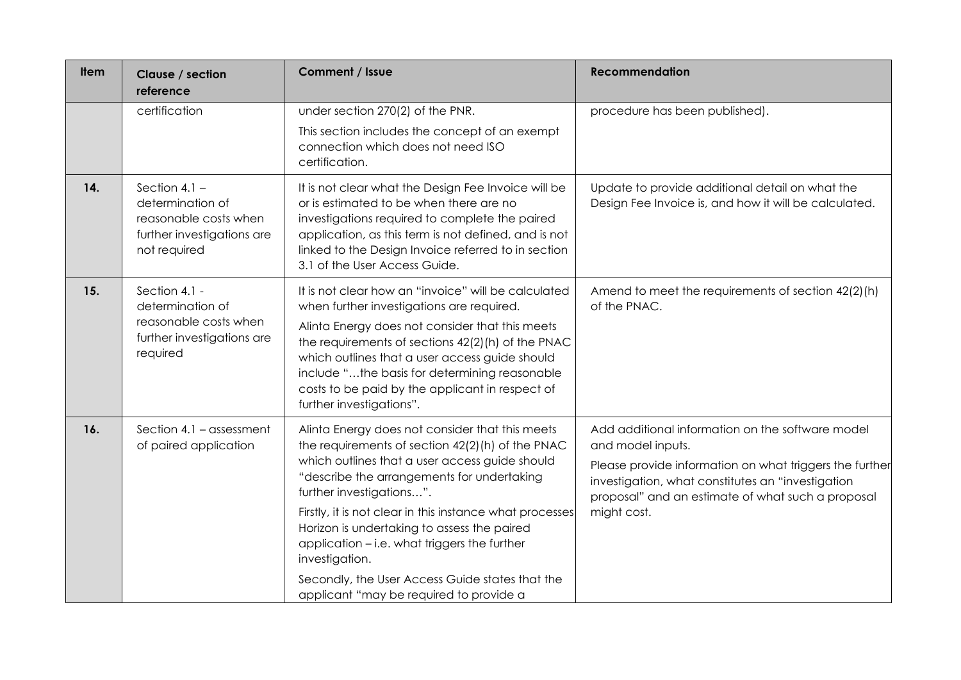| <b>Item</b> | Clause / section<br>reference                                                                              | <b>Comment / Issue</b>                                                                                                                                                                                                                                                                                                                                                                                                                                                                                     | <b>Recommendation</b>                                                                                                                                                                                                                                     |
|-------------|------------------------------------------------------------------------------------------------------------|------------------------------------------------------------------------------------------------------------------------------------------------------------------------------------------------------------------------------------------------------------------------------------------------------------------------------------------------------------------------------------------------------------------------------------------------------------------------------------------------------------|-----------------------------------------------------------------------------------------------------------------------------------------------------------------------------------------------------------------------------------------------------------|
|             | certification                                                                                              | under section 270(2) of the PNR.<br>This section includes the concept of an exempt<br>connection which does not need ISO<br>certification.                                                                                                                                                                                                                                                                                                                                                                 | procedure has been published).                                                                                                                                                                                                                            |
| 14.         | Section 4.1 $-$<br>determination of<br>reasonable costs when<br>further investigations are<br>not required | It is not clear what the Design Fee Invoice will be<br>or is estimated to be when there are no<br>investigations required to complete the paired<br>application, as this term is not defined, and is not<br>linked to the Design Invoice referred to in section<br>3.1 of the User Access Guide.                                                                                                                                                                                                           | Update to provide additional detail on what the<br>Design Fee Invoice is, and how it will be calculated.                                                                                                                                                  |
| 15.         | Section 4.1 -<br>determination of<br>reasonable costs when<br>further investigations are<br>required       | It is not clear how an "invoice" will be calculated<br>when further investigations are required.<br>Alinta Energy does not consider that this meets<br>the requirements of sections 42(2)(h) of the PNAC<br>which outlines that a user access guide should<br>include "the basis for determining reasonable<br>costs to be paid by the applicant in respect of<br>further investigations".                                                                                                                 | Amend to meet the requirements of section 42(2)(h)<br>of the PNAC.                                                                                                                                                                                        |
| 16.         | Section 4.1 - assessment<br>of paired application                                                          | Alinta Energy does not consider that this meets<br>the requirements of section 42(2)(h) of the PNAC<br>which outlines that a user access guide should<br>"describe the arrangements for undertaking<br>further investigations".<br>Firstly, it is not clear in this instance what processes<br>Horizon is undertaking to assess the paired<br>application - i.e. what triggers the further<br>investigation.<br>Secondly, the User Access Guide states that the<br>applicant "may be required to provide a | Add additional information on the software model<br>and model inputs.<br>Please provide information on what triggers the further<br>investigation, what constitutes an "investigation<br>proposal" and an estimate of what such a proposal<br>might cost. |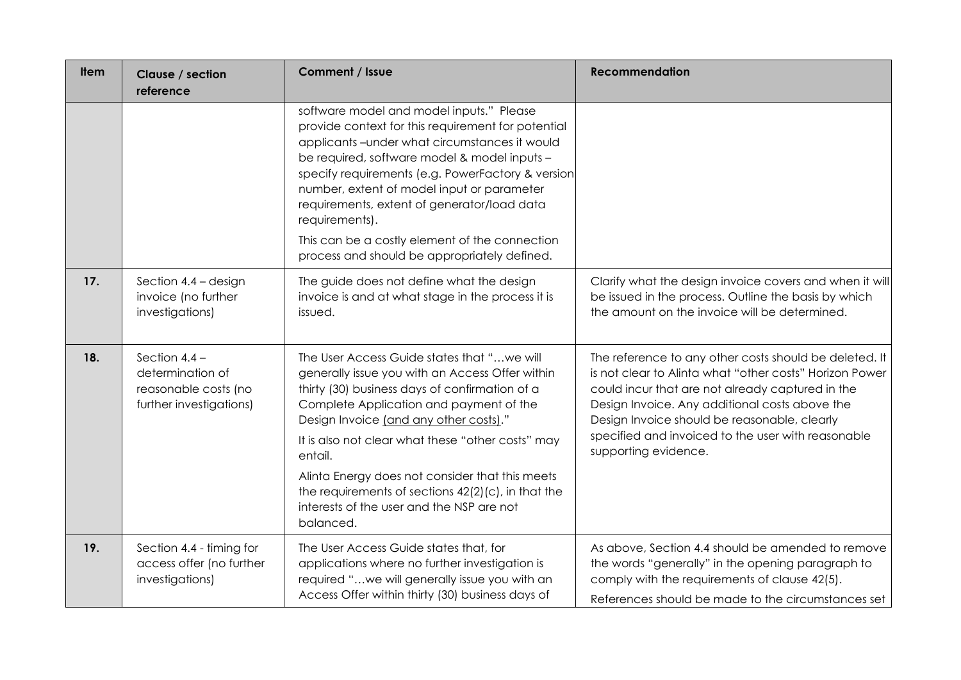| <b>Item</b> | Clause / section<br>reference                                                          | Comment / Issue                                                                                                                                                                                                                                                                                                                                                                                                                                                             | <b>Recommendation</b>                                                                                                                                                                                                                                                                                                                                 |
|-------------|----------------------------------------------------------------------------------------|-----------------------------------------------------------------------------------------------------------------------------------------------------------------------------------------------------------------------------------------------------------------------------------------------------------------------------------------------------------------------------------------------------------------------------------------------------------------------------|-------------------------------------------------------------------------------------------------------------------------------------------------------------------------------------------------------------------------------------------------------------------------------------------------------------------------------------------------------|
|             |                                                                                        | software model and model inputs." Please<br>provide context for this requirement for potential<br>applicants-under what circumstances it would<br>be required, software model & model inputs -<br>specify requirements (e.g. PowerFactory & version<br>number, extent of model input or parameter<br>requirements, extent of generator/load data<br>requirements).<br>This can be a costly element of the connection<br>process and should be appropriately defined.        |                                                                                                                                                                                                                                                                                                                                                       |
| 17.         | Section $4.4 -$ design<br>invoice (no further<br>investigations)                       | The guide does not define what the design<br>invoice is and at what stage in the process it is<br>issued.                                                                                                                                                                                                                                                                                                                                                                   | Clarify what the design invoice covers and when it will<br>be issued in the process. Outline the basis by which<br>the amount on the invoice will be determined.                                                                                                                                                                                      |
| 18.         | Section $4.4 -$<br>determination of<br>reasonable costs (no<br>further investigations) | The User Access Guide states that " we will<br>generally issue you with an Access Offer within<br>thirty (30) business days of confirmation of a<br>Complete Application and payment of the<br>Design Invoice (and any other costs)."<br>It is also not clear what these "other costs" may<br>entail.<br>Alinta Energy does not consider that this meets<br>the requirements of sections $42(2)(c)$ , in that the<br>interests of the user and the NSP are not<br>balanced. | The reference to any other costs should be deleted. It<br>is not clear to Alinta what "other costs" Horizon Power<br>could incur that are not already captured in the<br>Design Invoice. Any additional costs above the<br>Design Invoice should be reasonable, clearly<br>specified and invoiced to the user with reasonable<br>supporting evidence. |
| 19.         | Section 4.4 - timing for<br>access offer (no further<br>investigations)                | The User Access Guide states that, for<br>applications where no further investigation is<br>required "we will generally issue you with an<br>Access Offer within thirty (30) business days of                                                                                                                                                                                                                                                                               | As above, Section 4.4 should be amended to remove<br>the words "generally" in the opening paragraph to<br>comply with the requirements of clause 42(5).<br>References should be made to the circumstances set                                                                                                                                         |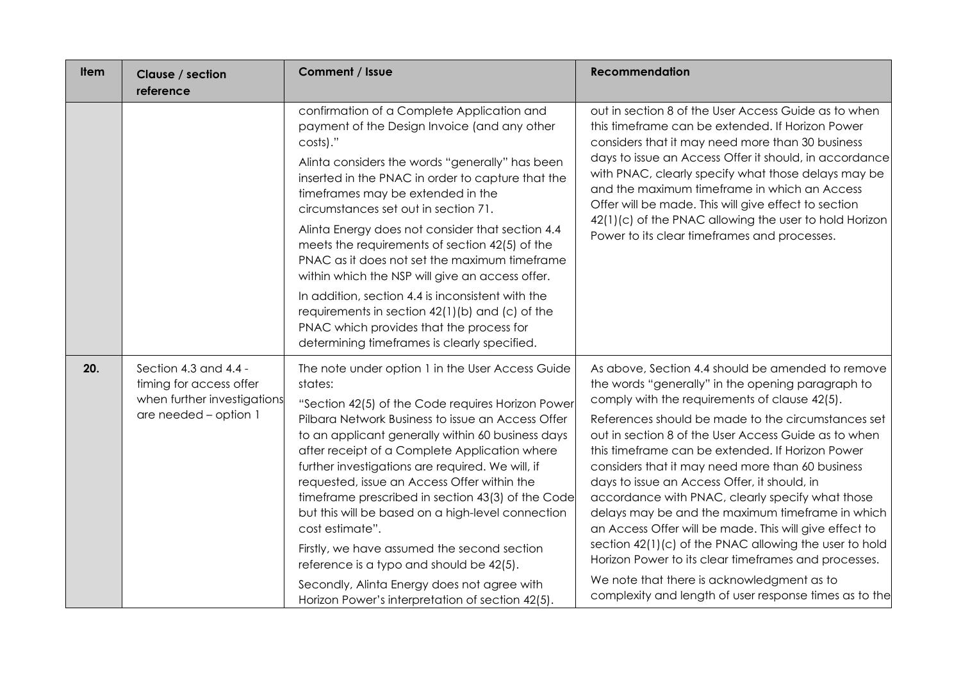| <b>Item</b> | Clause / section<br>reference                                                                            | Comment / Issue                                                                                                                                                                                                                                                                                                                                                                                                                                                                                                                                                                                                                                                                                           | <b>Recommendation</b>                                                                                                                                                                                                                                                                                                                                                                                                                                                                                                                                                                                                                                                                                                                                                                                                     |
|-------------|----------------------------------------------------------------------------------------------------------|-----------------------------------------------------------------------------------------------------------------------------------------------------------------------------------------------------------------------------------------------------------------------------------------------------------------------------------------------------------------------------------------------------------------------------------------------------------------------------------------------------------------------------------------------------------------------------------------------------------------------------------------------------------------------------------------------------------|---------------------------------------------------------------------------------------------------------------------------------------------------------------------------------------------------------------------------------------------------------------------------------------------------------------------------------------------------------------------------------------------------------------------------------------------------------------------------------------------------------------------------------------------------------------------------------------------------------------------------------------------------------------------------------------------------------------------------------------------------------------------------------------------------------------------------|
|             |                                                                                                          | confirmation of a Complete Application and<br>payment of the Design Invoice (and any other<br>costs)."<br>Alinta considers the words "generally" has been<br>inserted in the PNAC in order to capture that the<br>timeframes may be extended in the<br>circumstances set out in section 71.<br>Alinta Energy does not consider that section 4.4<br>meets the requirements of section 42(5) of the<br>PNAC as it does not set the maximum timeframe<br>within which the NSP will give an access offer.<br>In addition, section 4.4 is inconsistent with the<br>requirements in section 42(1)(b) and (c) of the<br>PNAC which provides that the process for<br>determining timeframes is clearly specified. | out in section 8 of the User Access Guide as to when<br>this timeframe can be extended. If Horizon Power<br>considers that it may need more than 30 business<br>days to issue an Access Offer it should, in accordance<br>with PNAC, clearly specify what those delays may be<br>and the maximum timeframe in which an Access<br>Offer will be made. This will give effect to section<br>42(1)(c) of the PNAC allowing the user to hold Horizon<br>Power to its clear timeframes and processes.                                                                                                                                                                                                                                                                                                                           |
| 20.         | Section 4.3 and 4.4 -<br>timing for access offer<br>when further investigations<br>are needed - option 1 | The note under option 1 in the User Access Guide<br>states:<br>"Section 42(5) of the Code requires Horizon Power<br>Pilbara Network Business to issue an Access Offer<br>to an applicant generally within 60 business days<br>after receipt of a Complete Application where<br>further investigations are required. We will, if<br>requested, issue an Access Offer within the<br>timeframe prescribed in section 43(3) of the Code<br>but this will be based on a high-level connection<br>cost estimate".<br>Firstly, we have assumed the second section<br>reference is a typo and should be 42(5).<br>Secondly, Alinta Energy does not agree with<br>Horizon Power's interpretation of section 42(5). | As above, Section 4.4 should be amended to remove<br>the words "generally" in the opening paragraph to<br>comply with the requirements of clause 42(5).<br>References should be made to the circumstances set<br>out in section 8 of the User Access Guide as to when<br>this timeframe can be extended. If Horizon Power<br>considers that it may need more than 60 business<br>days to issue an Access Offer, it should, in<br>accordance with PNAC, clearly specify what those<br>delays may be and the maximum timeframe in which<br>an Access Offer will be made. This will give effect to<br>section 42(1)(c) of the PNAC allowing the user to hold<br>Horizon Power to its clear timeframes and processes.<br>We note that there is acknowledgment as to<br>complexity and length of user response times as to the |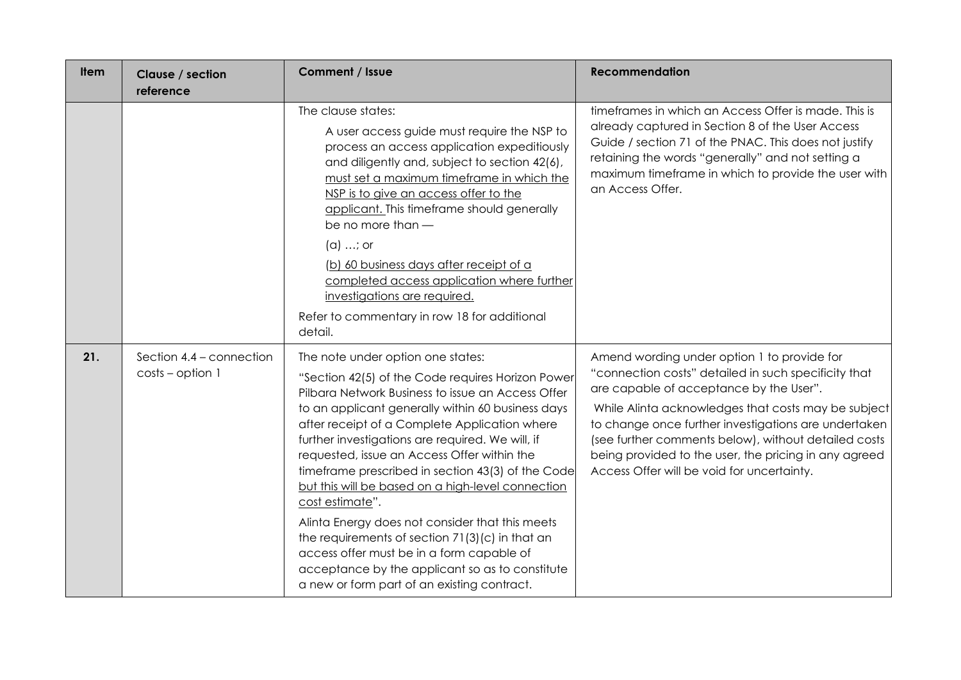| <b>Item</b> | Clause / section<br>reference                  | Comment / Issue                                                                                                                                                                                                                                                                                                                                                                                                                                                                                                                                                                                                                                                                                                                        | <b>Recommendation</b>                                                                                                                                                                                                                                                                                                                                                                                                        |
|-------------|------------------------------------------------|----------------------------------------------------------------------------------------------------------------------------------------------------------------------------------------------------------------------------------------------------------------------------------------------------------------------------------------------------------------------------------------------------------------------------------------------------------------------------------------------------------------------------------------------------------------------------------------------------------------------------------------------------------------------------------------------------------------------------------------|------------------------------------------------------------------------------------------------------------------------------------------------------------------------------------------------------------------------------------------------------------------------------------------------------------------------------------------------------------------------------------------------------------------------------|
|             |                                                | The clause states:<br>A user access guide must require the NSP to<br>process an access application expeditiously<br>and diligently and, subject to section 42(6),<br>must set a maximum timeframe in which the<br>NSP is to give an access offer to the<br>applicant. This timeframe should generally<br>be no more than -<br>$(a) \dots$ ; or<br>(b) 60 business days after receipt of a<br>completed access application where further<br>investigations are required.<br>Refer to commentary in row 18 for additional<br>detail.                                                                                                                                                                                                     | timeframes in which an Access Offer is made. This is<br>already captured in Section 8 of the User Access<br>Guide / section 71 of the PNAC. This does not justify<br>retaining the words "generally" and not setting a<br>maximum timeframe in which to provide the user with<br>an Access Offer.                                                                                                                            |
| 21.         | Section 4.4 - connection<br>$costs$ – option 1 | The note under option one states:<br>"Section 42(5) of the Code requires Horizon Power<br>Pilbara Network Business to issue an Access Offer<br>to an applicant generally within 60 business days<br>after receipt of a Complete Application where<br>further investigations are required. We will, if<br>requested, issue an Access Offer within the<br>timeframe prescribed in section 43(3) of the Code<br>but this will be based on a high-level connection<br>cost estimate".<br>Alinta Energy does not consider that this meets<br>the requirements of section 71(3)(c) in that an<br>access offer must be in a form capable of<br>acceptance by the applicant so as to constitute<br>a new or form part of an existing contract. | Amend wording under option 1 to provide for<br>"connection costs" detailed in such specificity that<br>are capable of acceptance by the User".<br>While Alinta acknowledges that costs may be subject<br>to change once further investigations are undertaken<br>(see further comments below), without detailed costs<br>being provided to the user, the pricing in any agreed<br>Access Offer will be void for uncertainty. |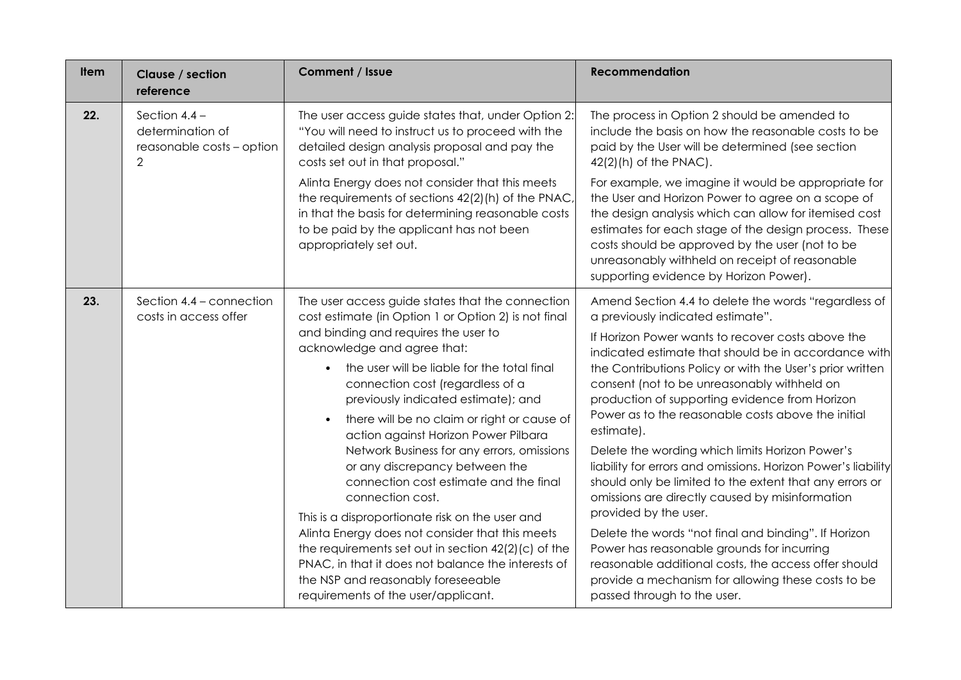| <b>Item</b> | Clause / section<br>reference                                                      | Comment / Issue                                                                                                                                                                                                                                                                                                                                                                                                                                                                                                                                                                                                                                                                                                                                                                                                                                | <b>Recommendation</b>                                                                                                                                                                                                                                                                                                                                                                                                                                                                                                                                                                                                                                                                                                                                                                                                                                                                                                                                  |
|-------------|------------------------------------------------------------------------------------|------------------------------------------------------------------------------------------------------------------------------------------------------------------------------------------------------------------------------------------------------------------------------------------------------------------------------------------------------------------------------------------------------------------------------------------------------------------------------------------------------------------------------------------------------------------------------------------------------------------------------------------------------------------------------------------------------------------------------------------------------------------------------------------------------------------------------------------------|--------------------------------------------------------------------------------------------------------------------------------------------------------------------------------------------------------------------------------------------------------------------------------------------------------------------------------------------------------------------------------------------------------------------------------------------------------------------------------------------------------------------------------------------------------------------------------------------------------------------------------------------------------------------------------------------------------------------------------------------------------------------------------------------------------------------------------------------------------------------------------------------------------------------------------------------------------|
| 22.         | Section $4.4 -$<br>determination of<br>reasonable costs - option<br>$\overline{2}$ | The user access guide states that, under Option 2:<br>"You will need to instruct us to proceed with the<br>detailed design analysis proposal and pay the<br>costs set out in that proposal."<br>Alinta Energy does not consider that this meets<br>the requirements of sections 42(2)(h) of the PNAC,<br>in that the basis for determining reasonable costs<br>to be paid by the applicant has not been<br>appropriately set out.                                                                                                                                                                                                                                                                                                                                                                                                              | The process in Option 2 should be amended to<br>include the basis on how the reasonable costs to be<br>paid by the User will be determined (see section<br>$42(2)(h)$ of the PNAC).<br>For example, we imagine it would be appropriate for<br>the User and Horizon Power to agree on a scope of<br>the design analysis which can allow for itemised cost<br>estimates for each stage of the design process. These<br>costs should be approved by the user (not to be<br>unreasonably withheld on receipt of reasonable<br>supporting evidence by Horizon Power).                                                                                                                                                                                                                                                                                                                                                                                       |
| 23.         | Section 4.4 - connection<br>costs in access offer                                  | The user access guide states that the connection<br>cost estimate (in Option 1 or Option 2) is not final<br>and binding and requires the user to<br>acknowledge and agree that:<br>the user will be liable for the total final<br>connection cost (regardless of a<br>previously indicated estimate); and<br>there will be no claim or right or cause of<br>action against Horizon Power Pilbara<br>Network Business for any errors, omissions<br>or any discrepancy between the<br>connection cost estimate and the final<br>connection cost.<br>This is a disproportionate risk on the user and<br>Alinta Energy does not consider that this meets<br>the requirements set out in section 42(2)(c) of the<br>PNAC, in that it does not balance the interests of<br>the NSP and reasonably foreseeable<br>requirements of the user/applicant. | Amend Section 4.4 to delete the words "regardless of<br>a previously indicated estimate".<br>If Horizon Power wants to recover costs above the<br>indicated estimate that should be in accordance with<br>the Contributions Policy or with the User's prior written<br>consent (not to be unreasonably withheld on<br>production of supporting evidence from Horizon<br>Power as to the reasonable costs above the initial<br>estimate).<br>Delete the wording which limits Horizon Power's<br>liability for errors and omissions. Horizon Power's liability<br>should only be limited to the extent that any errors or<br>omissions are directly caused by misinformation<br>provided by the user.<br>Delete the words "not final and binding". If Horizon<br>Power has reasonable grounds for incurring<br>reasonable additional costs, the access offer should<br>provide a mechanism for allowing these costs to be<br>passed through to the user. |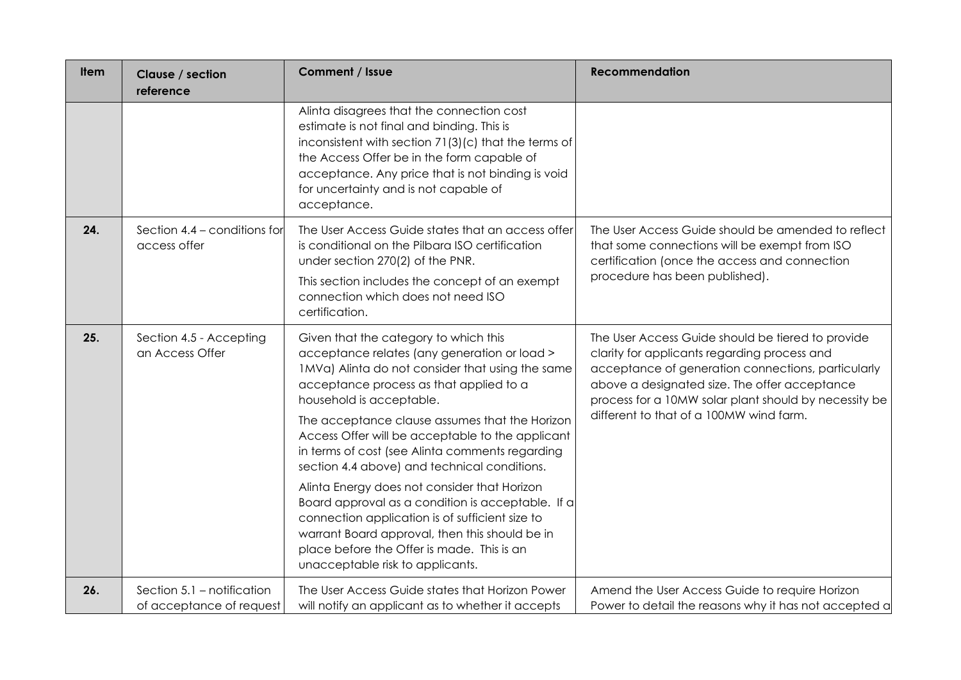| <b>Item</b> | Clause / section<br>reference                          | Comment / Issue                                                                                                                                                                                                                                                                                                                                                                                                                                                                                                                                                                                                                                                                                                       | <b>Recommendation</b>                                                                                                                                                                                                                                                                                        |
|-------------|--------------------------------------------------------|-----------------------------------------------------------------------------------------------------------------------------------------------------------------------------------------------------------------------------------------------------------------------------------------------------------------------------------------------------------------------------------------------------------------------------------------------------------------------------------------------------------------------------------------------------------------------------------------------------------------------------------------------------------------------------------------------------------------------|--------------------------------------------------------------------------------------------------------------------------------------------------------------------------------------------------------------------------------------------------------------------------------------------------------------|
|             |                                                        | Alinta disagrees that the connection cost<br>estimate is not final and binding. This is<br>inconsistent with section 71(3)(c) that the terms of<br>the Access Offer be in the form capable of<br>acceptance. Any price that is not binding is void<br>for uncertainty and is not capable of<br>acceptance.                                                                                                                                                                                                                                                                                                                                                                                                            |                                                                                                                                                                                                                                                                                                              |
| 24.         | Section 4.4 - conditions for<br>access offer           | The User Access Guide states that an access offer<br>is conditional on the Pilbara ISO certification<br>under section 270(2) of the PNR.<br>This section includes the concept of an exempt<br>connection which does not need ISO<br>certification.                                                                                                                                                                                                                                                                                                                                                                                                                                                                    | The User Access Guide should be amended to reflect<br>that some connections will be exempt from ISO<br>certification (once the access and connection<br>procedure has been published).                                                                                                                       |
| 25.         | Section 4.5 - Accepting<br>an Access Offer             | Given that the category to which this<br>acceptance relates (any generation or load ><br>1MVa) Alinta do not consider that using the same<br>acceptance process as that applied to a<br>household is acceptable.<br>The acceptance clause assumes that the Horizon<br>Access Offer will be acceptable to the applicant<br>in terms of cost (see Alinta comments regarding<br>section 4.4 above) and technical conditions.<br>Alinta Energy does not consider that Horizon<br>Board approval as a condition is acceptable. If a<br>connection application is of sufficient size to<br>warrant Board approval, then this should be in<br>place before the Offer is made. This is an<br>unacceptable risk to applicants. | The User Access Guide should be tiered to provide<br>clarity for applicants regarding process and<br>acceptance of generation connections, particularly<br>above a designated size. The offer acceptance<br>process for a 10MW solar plant should by necessity be<br>different to that of a 100MW wind farm. |
| 26.         | Section 5.1 - notification<br>of acceptance of request | The User Access Guide states that Horizon Power<br>will notify an applicant as to whether it accepts                                                                                                                                                                                                                                                                                                                                                                                                                                                                                                                                                                                                                  | Amend the User Access Guide to require Horizon<br>Power to detail the reasons why it has not accepted a                                                                                                                                                                                                      |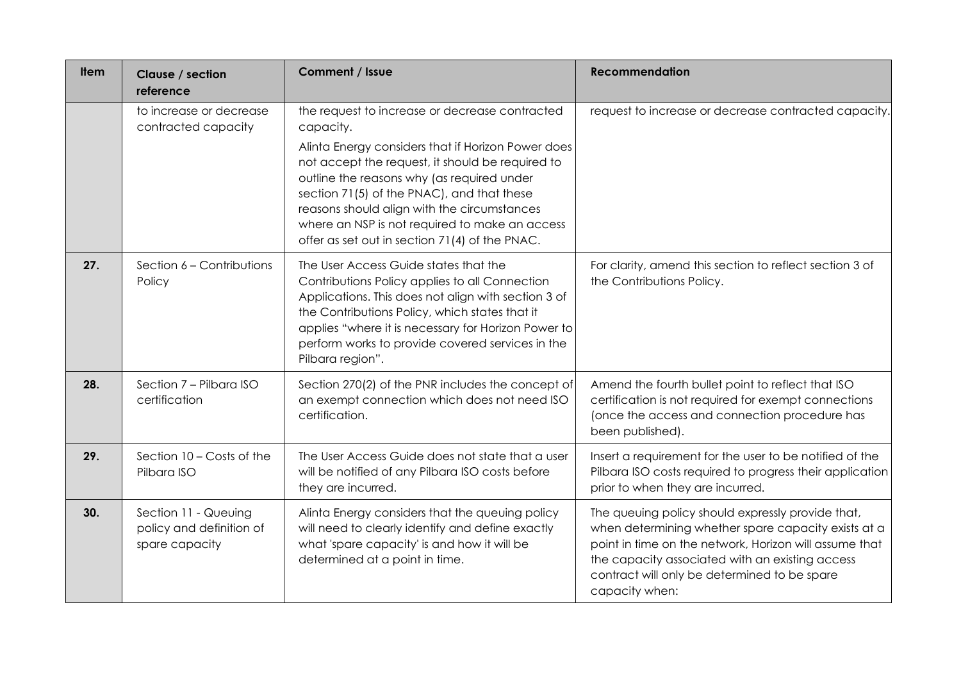| <b>Item</b> | Clause / section<br>reference                                      | Comment / Issue                                                                                                                                                                                                                                                                                                                                                                                                      | <b>Recommendation</b>                                                                                                                                                                                                                                                                   |
|-------------|--------------------------------------------------------------------|----------------------------------------------------------------------------------------------------------------------------------------------------------------------------------------------------------------------------------------------------------------------------------------------------------------------------------------------------------------------------------------------------------------------|-----------------------------------------------------------------------------------------------------------------------------------------------------------------------------------------------------------------------------------------------------------------------------------------|
|             | to increase or decrease<br>contracted capacity                     | the request to increase or decrease contracted<br>capacity.<br>Alinta Energy considers that if Horizon Power does<br>not accept the request, it should be required to<br>outline the reasons why (as required under<br>section 71(5) of the PNAC), and that these<br>reasons should align with the circumstances<br>where an NSP is not required to make an access<br>offer as set out in section 71(4) of the PNAC. | request to increase or decrease contracted capacity.                                                                                                                                                                                                                                    |
| 27.         | Section 6 - Contributions<br>Policy                                | The User Access Guide states that the<br>Contributions Policy applies to all Connection<br>Applications. This does not align with section 3 of<br>the Contributions Policy, which states that it<br>applies "where it is necessary for Horizon Power to<br>perform works to provide covered services in the<br>Pilbara region".                                                                                      | For clarity, amend this section to reflect section 3 of<br>the Contributions Policy.                                                                                                                                                                                                    |
| 28.         | Section 7 - Pilbara ISO<br>certification                           | Section 270(2) of the PNR includes the concept of<br>an exempt connection which does not need ISO<br>certification.                                                                                                                                                                                                                                                                                                  | Amend the fourth bullet point to reflect that ISO<br>certification is not required for exempt connections<br>(once the access and connection procedure has<br>been published).                                                                                                          |
| 29.         | Section 10 - Costs of the<br>Pilbara ISO                           | The User Access Guide does not state that a user<br>will be notified of any Pilbara ISO costs before<br>they are incurred.                                                                                                                                                                                                                                                                                           | Insert a requirement for the user to be notified of the<br>Pilbara ISO costs required to progress their application<br>prior to when they are incurred.                                                                                                                                 |
| 30.         | Section 11 - Queuing<br>policy and definition of<br>spare capacity | Alinta Energy considers that the queuing policy<br>will need to clearly identify and define exactly<br>what 'spare capacity' is and how it will be<br>determined at a point in time.                                                                                                                                                                                                                                 | The queuing policy should expressly provide that,<br>when determining whether spare capacity exists at a<br>point in time on the network, Horizon will assume that<br>the capacity associated with an existing access<br>contract will only be determined to be spare<br>capacity when: |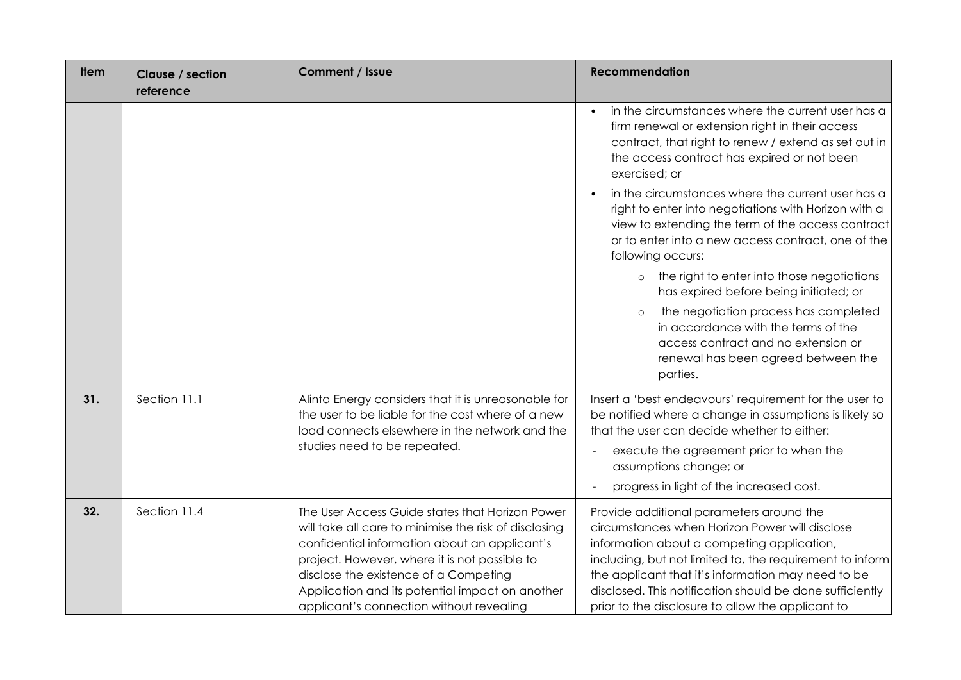| <b>Item</b> | Clause / section<br>reference | Comment / Issue                                                                                                                                                                                                                                                                                                                                    | <b>Recommendation</b>                                                                                                                                                                                                                                                                                                                                                                                                                                                                                                                                                                                                                                                                                                                                 |
|-------------|-------------------------------|----------------------------------------------------------------------------------------------------------------------------------------------------------------------------------------------------------------------------------------------------------------------------------------------------------------------------------------------------|-------------------------------------------------------------------------------------------------------------------------------------------------------------------------------------------------------------------------------------------------------------------------------------------------------------------------------------------------------------------------------------------------------------------------------------------------------------------------------------------------------------------------------------------------------------------------------------------------------------------------------------------------------------------------------------------------------------------------------------------------------|
|             |                               |                                                                                                                                                                                                                                                                                                                                                    | in the circumstances where the current user has a<br>firm renewal or extension right in their access<br>contract, that right to renew / extend as set out in<br>the access contract has expired or not been<br>exercised; or<br>in the circumstances where the current user has a<br>right to enter into negotiations with Horizon with a<br>view to extending the term of the access contract<br>or to enter into a new access contract, one of the<br>following occurs:<br>the right to enter into those negotiations<br>$\circ$<br>has expired before being initiated; or<br>the negotiation process has completed<br>$\circ$<br>in accordance with the terms of the<br>access contract and no extension or<br>renewal has been agreed between the |
|             |                               |                                                                                                                                                                                                                                                                                                                                                    | parties.                                                                                                                                                                                                                                                                                                                                                                                                                                                                                                                                                                                                                                                                                                                                              |
| 31.         | Section 11.1                  | Alinta Energy considers that it is unreasonable for<br>the user to be liable for the cost where of a new<br>load connects elsewhere in the network and the<br>studies need to be repeated.                                                                                                                                                         | Insert a 'best endeavours' requirement for the user to<br>be notified where a change in assumptions is likely so<br>that the user can decide whether to either:<br>execute the agreement prior to when the<br>assumptions change; or<br>progress in light of the increased cost.                                                                                                                                                                                                                                                                                                                                                                                                                                                                      |
| 32.         | Section 11.4                  | The User Access Guide states that Horizon Power<br>will take all care to minimise the risk of disclosing<br>confidential information about an applicant's<br>project. However, where it is not possible to<br>disclose the existence of a Competing<br>Application and its potential impact on another<br>applicant's connection without revealing | Provide additional parameters around the<br>circumstances when Horizon Power will disclose<br>information about a competing application,<br>including, but not limited to, the requirement to inform<br>the applicant that it's information may need to be<br>disclosed. This notification should be done sufficiently<br>prior to the disclosure to allow the applicant to                                                                                                                                                                                                                                                                                                                                                                           |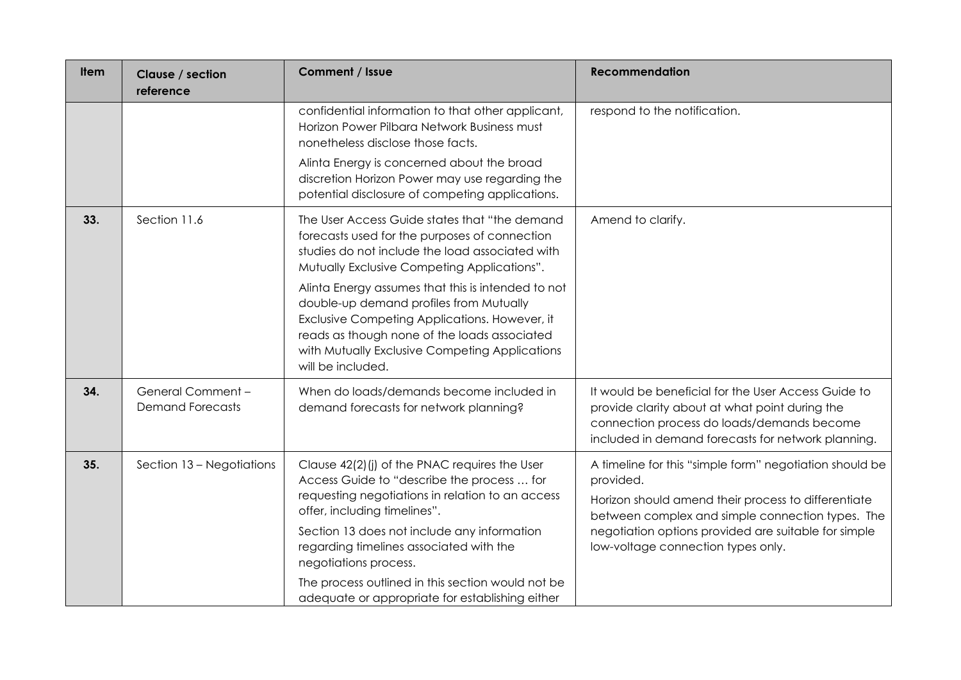| <b>Item</b> | Clause / section<br>reference                | <b>Comment / Issue</b>                                                                                                                                                                                                                                                                                                                                                                                     | <b>Recommendation</b>                                                                                                                                                                                                                                                         |
|-------------|----------------------------------------------|------------------------------------------------------------------------------------------------------------------------------------------------------------------------------------------------------------------------------------------------------------------------------------------------------------------------------------------------------------------------------------------------------------|-------------------------------------------------------------------------------------------------------------------------------------------------------------------------------------------------------------------------------------------------------------------------------|
|             |                                              | confidential information to that other applicant,<br>Horizon Power Pilbara Network Business must<br>nonetheless disclose those facts.                                                                                                                                                                                                                                                                      | respond to the notification.                                                                                                                                                                                                                                                  |
|             |                                              | Alinta Energy is concerned about the broad<br>discretion Horizon Power may use regarding the<br>potential disclosure of competing applications.                                                                                                                                                                                                                                                            |                                                                                                                                                                                                                                                                               |
| 33.         | Section 11.6                                 | The User Access Guide states that "the demand<br>forecasts used for the purposes of connection<br>studies do not include the load associated with<br>Mutually Exclusive Competing Applications".                                                                                                                                                                                                           | Amend to clarify.                                                                                                                                                                                                                                                             |
|             |                                              | Alinta Energy assumes that this is intended to not<br>double-up demand profiles from Mutually<br>Exclusive Competing Applications. However, it<br>reads as though none of the loads associated<br>with Mutually Exclusive Competing Applications<br>will be included.                                                                                                                                      |                                                                                                                                                                                                                                                                               |
| 34.         | General Comment -<br><b>Demand Forecasts</b> | When do loads/demands become included in<br>demand forecasts for network planning?                                                                                                                                                                                                                                                                                                                         | It would be beneficial for the User Access Guide to<br>provide clarity about at what point during the<br>connection process do loads/demands become<br>included in demand forecasts for network planning.                                                                     |
| 35.         | Section 13 - Negotiations                    | Clause 42(2)(j) of the PNAC requires the User<br>Access Guide to "describe the process  for<br>requesting negotiations in relation to an access<br>offer, including timelines".<br>Section 13 does not include any information<br>regarding timelines associated with the<br>negotiations process.<br>The process outlined in this section would not be<br>adequate or appropriate for establishing either | A timeline for this "simple form" negotiation should be<br>provided.<br>Horizon should amend their process to differentiate<br>between complex and simple connection types. The<br>negotiation options provided are suitable for simple<br>low-voltage connection types only. |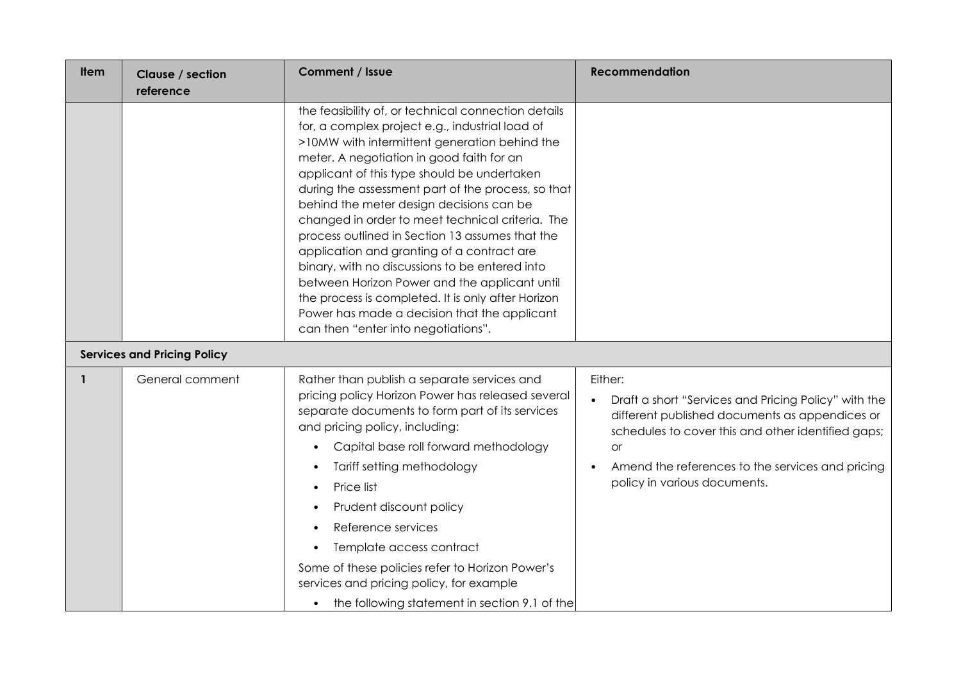| ltem | Clause / section<br>reference      | Comment / Issue                                                                                                                                                                                                                                                                                                                                                                                                                                                                                                                                                                                                                                                                                                                                            | <b>Recommendation</b>                                                                                                                                                                                                                                                    |
|------|------------------------------------|------------------------------------------------------------------------------------------------------------------------------------------------------------------------------------------------------------------------------------------------------------------------------------------------------------------------------------------------------------------------------------------------------------------------------------------------------------------------------------------------------------------------------------------------------------------------------------------------------------------------------------------------------------------------------------------------------------------------------------------------------------|--------------------------------------------------------------------------------------------------------------------------------------------------------------------------------------------------------------------------------------------------------------------------|
|      |                                    | the feasibility of, or technical connection details<br>for, a complex project e.g., industrial load of<br>>10MW with intermittent generation behind the<br>meter. A negotiation in good faith for an<br>applicant of this type should be undertaken<br>during the assessment part of the process, so that<br>behind the meter design decisions can be<br>changed in order to meet technical criteria. The<br>process outlined in Section 13 assumes that the<br>application and granting of a contract are<br>binary, with no discussions to be entered into<br>between Horizon Power and the applicant until<br>the process is completed. It is only after Horizon<br>Power has made a decision that the applicant<br>can then "enter into negotiations". |                                                                                                                                                                                                                                                                          |
|      | <b>Services and Pricing Policy</b> |                                                                                                                                                                                                                                                                                                                                                                                                                                                                                                                                                                                                                                                                                                                                                            |                                                                                                                                                                                                                                                                          |
|      | General comment                    | Rather than publish a separate services and<br>pricing policy Horizon Power has released several<br>separate documents to form part of its services<br>and pricing policy, including:<br>Capital base roll forward methodology<br>$\bullet$<br>Tariff setting methodology<br>Price list<br>$\bullet$<br>Prudent discount policy<br>Reference services<br>$\bullet$<br>Template access contract<br>$\bullet$<br>Some of these policies refer to Horizon Power's<br>services and pricing policy, for example<br>the following statement in section 9.1 of the<br>$\bullet$                                                                                                                                                                                   | Either:<br>Draft a short "Services and Pricing Policy" with the<br>different published documents as appendices or<br>schedules to cover this and other identified gaps;<br><b>or</b><br>Amend the references to the services and pricing<br>policy in various documents. |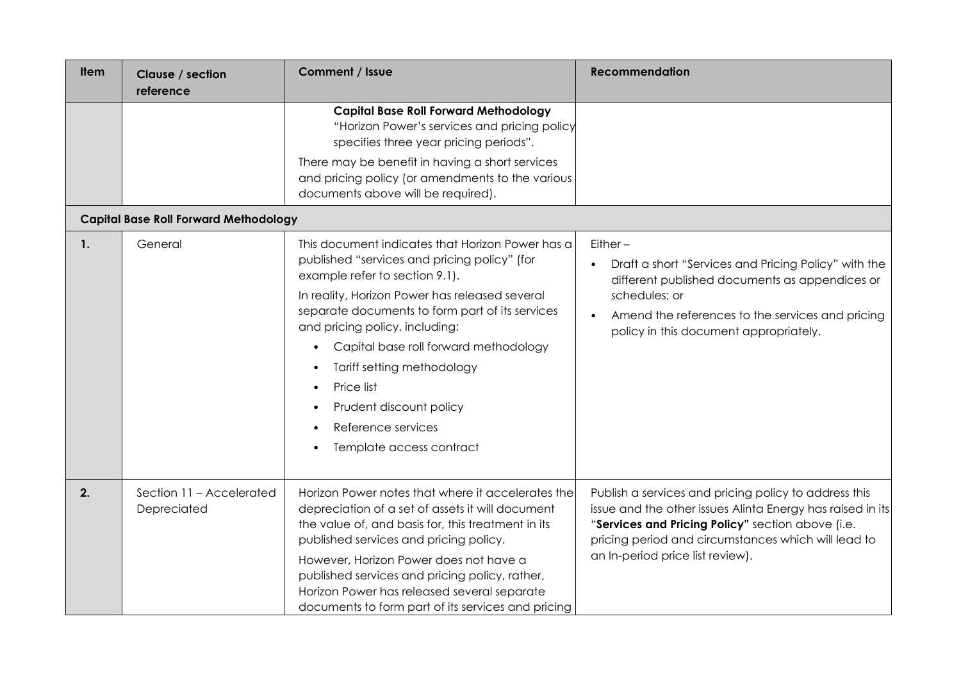| ltem           | Clause / section<br>reference                | Comment / Issue                                                                                                                                                                                                                                                                                                                                                                                                                                          | <b>Recommendation</b>                                                                                                                                                                                                                                               |
|----------------|----------------------------------------------|----------------------------------------------------------------------------------------------------------------------------------------------------------------------------------------------------------------------------------------------------------------------------------------------------------------------------------------------------------------------------------------------------------------------------------------------------------|---------------------------------------------------------------------------------------------------------------------------------------------------------------------------------------------------------------------------------------------------------------------|
|                |                                              | <b>Capital Base Roll Forward Methodology</b><br>"Horizon Power's services and pricing policy<br>specifies three year pricing periods".<br>There may be benefit in having a short services<br>and pricing policy (or amendments to the various<br>documents above will be required).                                                                                                                                                                      |                                                                                                                                                                                                                                                                     |
|                | <b>Capital Base Roll Forward Methodology</b> |                                                                                                                                                                                                                                                                                                                                                                                                                                                          |                                                                                                                                                                                                                                                                     |
| $\mathbf{1}$ . | General                                      | This document indicates that Horizon Power has a<br>published "services and pricing policy" (for<br>example refer to section 9.1).<br>In reality, Horizon Power has released several<br>separate documents to form part of its services<br>and pricing policy, including:<br>Capital base roll forward methodology<br>Tariff setting methodology<br>Price list<br>$\bullet$<br>Prudent discount policy<br>Reference services<br>Template access contract | $Either -$<br>Draft a short "Services and Pricing Policy" with the<br>different published documents as appendices or<br>schedules; or<br>Amend the references to the services and pricing<br>policy in this document appropriately.                                 |
| 2.             | Section 11 - Accelerated<br>Depreciated      | Horizon Power notes that where it accelerates the<br>depreciation of a set of assets it will document<br>the value of, and basis for, this treatment in its<br>published services and pricing policy.<br>However, Horizon Power does not have a<br>published services and pricing policy, rather,<br>Horizon Power has released several separate<br>documents to form part of its services and pricing                                                   | Publish a services and pricing policy to address this<br>issue and the other issues Alinta Energy has raised in its<br>"Services and Pricing Policy" section above (i.e.<br>pricing period and circumstances which will lead to<br>an In-period price list review). |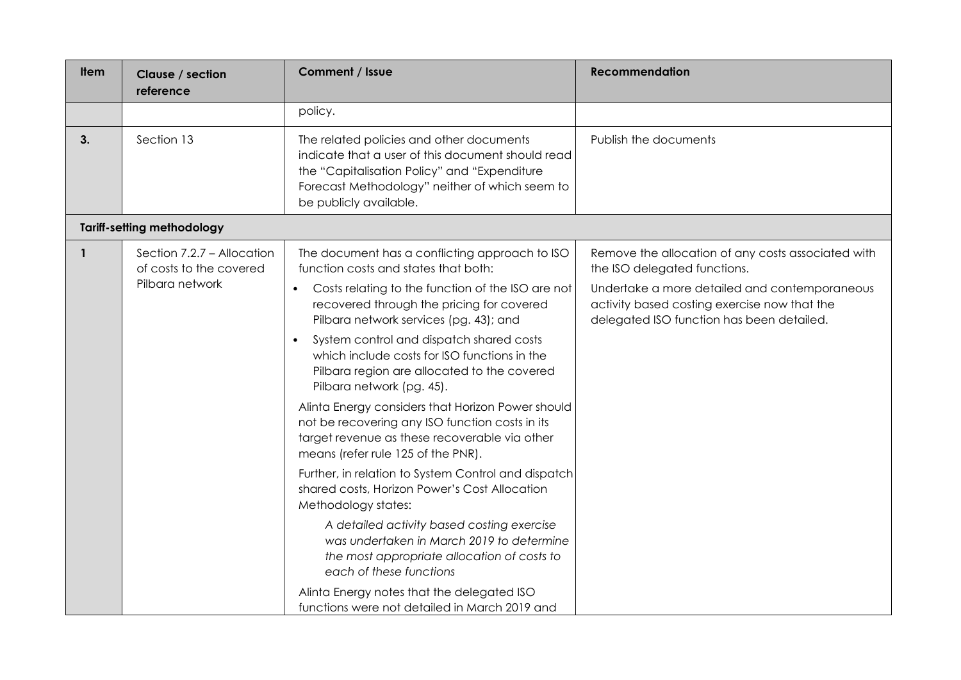| ltem | Clause / section<br>reference                         | Comment / Issue                                                                                                                                                                                                           | <b>Recommendation</b>                                                                                                                      |
|------|-------------------------------------------------------|---------------------------------------------------------------------------------------------------------------------------------------------------------------------------------------------------------------------------|--------------------------------------------------------------------------------------------------------------------------------------------|
|      |                                                       | policy.                                                                                                                                                                                                                   |                                                                                                                                            |
| 3.   | Section 13                                            | The related policies and other documents<br>indicate that a user of this document should read<br>the "Capitalisation Policy" and "Expenditure<br>Forecast Methodology" neither of which seem to<br>be publicly available. | Publish the documents                                                                                                                      |
|      | <b>Tariff-setting methodology</b>                     |                                                                                                                                                                                                                           |                                                                                                                                            |
| 1    | Section 7.2.7 - Allocation<br>of costs to the covered | The document has a conflicting approach to ISO<br>function costs and states that both:                                                                                                                                    | Remove the allocation of any costs associated with<br>the ISO delegated functions.                                                         |
|      | Pilbara network                                       | Costs relating to the function of the ISO are not<br>$\bullet$<br>recovered through the pricing for covered<br>Pilbara network services (pg. 43); and                                                                     | Undertake a more detailed and contemporaneous<br>activity based costing exercise now that the<br>delegated ISO function has been detailed. |
|      |                                                       | System control and dispatch shared costs<br>$\bullet$<br>which include costs for ISO functions in the<br>Pilbara region are allocated to the covered<br>Pilbara network (pg. 45).                                         |                                                                                                                                            |
|      |                                                       | Alinta Energy considers that Horizon Power should<br>not be recovering any ISO function costs in its<br>target revenue as these recoverable via other<br>means (refer rule 125 of the PNR).                               |                                                                                                                                            |
|      |                                                       | Further, in relation to System Control and dispatch<br>shared costs, Horizon Power's Cost Allocation<br>Methodology states:                                                                                               |                                                                                                                                            |
|      |                                                       | A detailed activity based costing exercise<br>was undertaken in March 2019 to determine<br>the most appropriate allocation of costs to<br>each of these functions                                                         |                                                                                                                                            |
|      |                                                       | Alinta Energy notes that the delegated ISO<br>functions were not detailed in March 2019 and                                                                                                                               |                                                                                                                                            |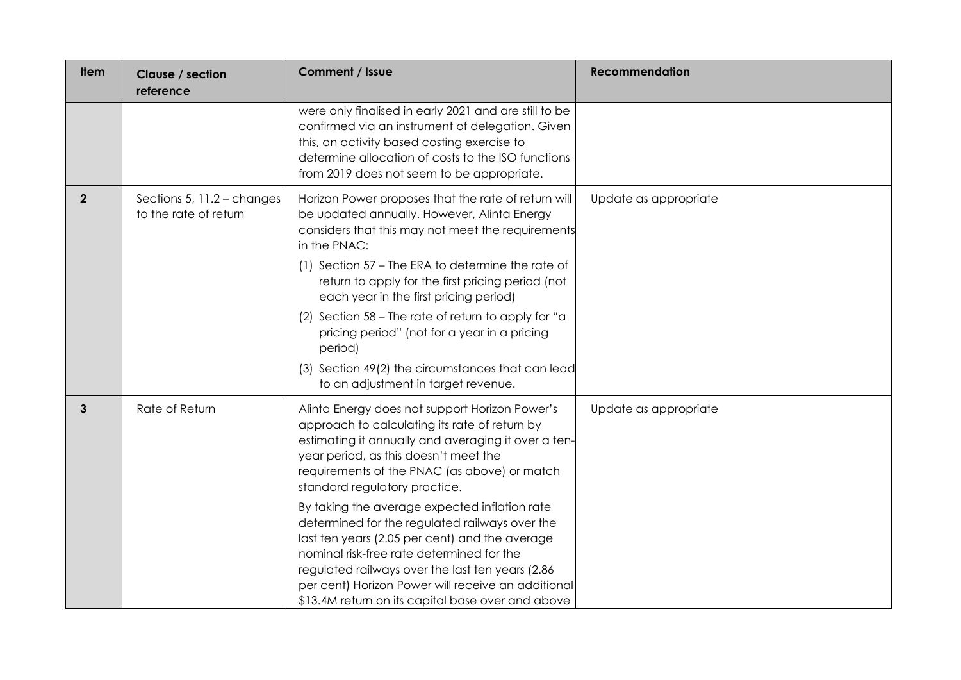| <b>Item</b>    | Clause / section<br>reference                       | Comment / Issue                                                                                                                                                                                                                                                                                                                                               | <b>Recommendation</b> |
|----------------|-----------------------------------------------------|---------------------------------------------------------------------------------------------------------------------------------------------------------------------------------------------------------------------------------------------------------------------------------------------------------------------------------------------------------------|-----------------------|
|                |                                                     | were only finalised in early 2021 and are still to be<br>confirmed via an instrument of delegation. Given<br>this, an activity based costing exercise to<br>determine allocation of costs to the ISO functions<br>from 2019 does not seem to be appropriate.                                                                                                  |                       |
| $\overline{2}$ | Sections 5, 11.2 - changes<br>to the rate of return | Horizon Power proposes that the rate of return will<br>be updated annually. However, Alinta Energy<br>considers that this may not meet the requirements<br>in the PNAC:                                                                                                                                                                                       | Update as appropriate |
|                |                                                     | (1) Section 57 – The ERA to determine the rate of<br>return to apply for the first pricing period (not<br>each year in the first pricing period)                                                                                                                                                                                                              |                       |
|                |                                                     | (2) Section 58 – The rate of return to apply for "a<br>pricing period" (not for a year in a pricing<br>period)                                                                                                                                                                                                                                                |                       |
|                |                                                     | (3) Section 49(2) the circumstances that can lead<br>to an adjustment in target revenue.                                                                                                                                                                                                                                                                      |                       |
| $\mathbf{3}$   | Rate of Return                                      | Alinta Energy does not support Horizon Power's<br>approach to calculating its rate of return by<br>estimating it annually and averaging it over a ten-<br>year period, as this doesn't meet the<br>requirements of the PNAC (as above) or match<br>standard regulatory practice.                                                                              | Update as appropriate |
|                |                                                     | By taking the average expected inflation rate<br>determined for the regulated railways over the<br>last ten years (2.05 per cent) and the average<br>nominal risk-free rate determined for the<br>regulated railways over the last ten years (2.86<br>per cent) Horizon Power will receive an additional<br>\$13.4M return on its capital base over and above |                       |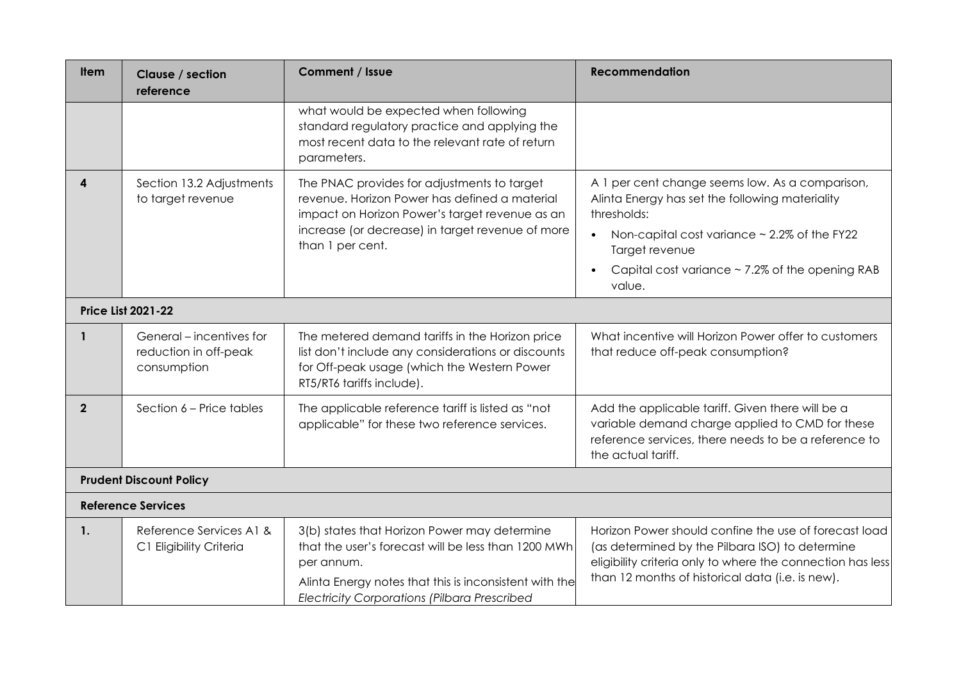| <b>Item</b>      | Clause / section<br>reference                                    | <b>Comment / Issue</b>                                                                                                                                                                                                             | <b>Recommendation</b>                                                                                                                                                                                                                                      |
|------------------|------------------------------------------------------------------|------------------------------------------------------------------------------------------------------------------------------------------------------------------------------------------------------------------------------------|------------------------------------------------------------------------------------------------------------------------------------------------------------------------------------------------------------------------------------------------------------|
|                  |                                                                  | what would be expected when following<br>standard regulatory practice and applying the<br>most recent data to the relevant rate of return<br>parameters.                                                                           |                                                                                                                                                                                                                                                            |
| $\blacktriangle$ | Section 13.2 Adjustments<br>to target revenue                    | The PNAC provides for adjustments to target<br>revenue. Horizon Power has defined a material<br>impact on Horizon Power's target revenue as an<br>increase (or decrease) in target revenue of more<br>than 1 per cent.             | A 1 per cent change seems low. As a comparison,<br>Alinta Energy has set the following materiality<br>thresholds:<br>Non-capital cost variance $\sim$ 2.2% of the FY22<br>Target revenue<br>Capital cost variance $\sim$ 7.2% of the opening RAB<br>value. |
|                  | <b>Price List 2021-22</b>                                        |                                                                                                                                                                                                                                    |                                                                                                                                                                                                                                                            |
|                  | General – incentives for<br>reduction in off-peak<br>consumption | The metered demand tariffs in the Horizon price<br>list don't include any considerations or discounts<br>for Off-peak usage (which the Western Power<br>RT5/RT6 tariffs include).                                                  | What incentive will Horizon Power offer to customers<br>that reduce off-peak consumption?                                                                                                                                                                  |
| $\overline{2}$   | Section 6 – Price tables                                         | The applicable reference tariff is listed as "not<br>applicable" for these two reference services.                                                                                                                                 | Add the applicable tariff. Given there will be a<br>variable demand charge applied to CMD for these<br>reference services, there needs to be a reference to<br>the actual tariff.                                                                          |
|                  | <b>Prudent Discount Policy</b>                                   |                                                                                                                                                                                                                                    |                                                                                                                                                                                                                                                            |
|                  | <b>Reference Services</b>                                        |                                                                                                                                                                                                                                    |                                                                                                                                                                                                                                                            |
| 1.               | Reference Services A1 &<br>C1 Eligibility Criteria               | 3(b) states that Horizon Power may determine<br>that the user's forecast will be less than 1200 MWh<br>per annum.<br>Alinta Energy notes that this is inconsistent with the<br><b>Electricity Corporations (Pilbara Prescribed</b> | Horizon Power should confine the use of forecast load<br>(as determined by the Pilbara ISO) to determine<br>eligibility criteria only to where the connection has less<br>than 12 months of historical data (i.e. is new).                                 |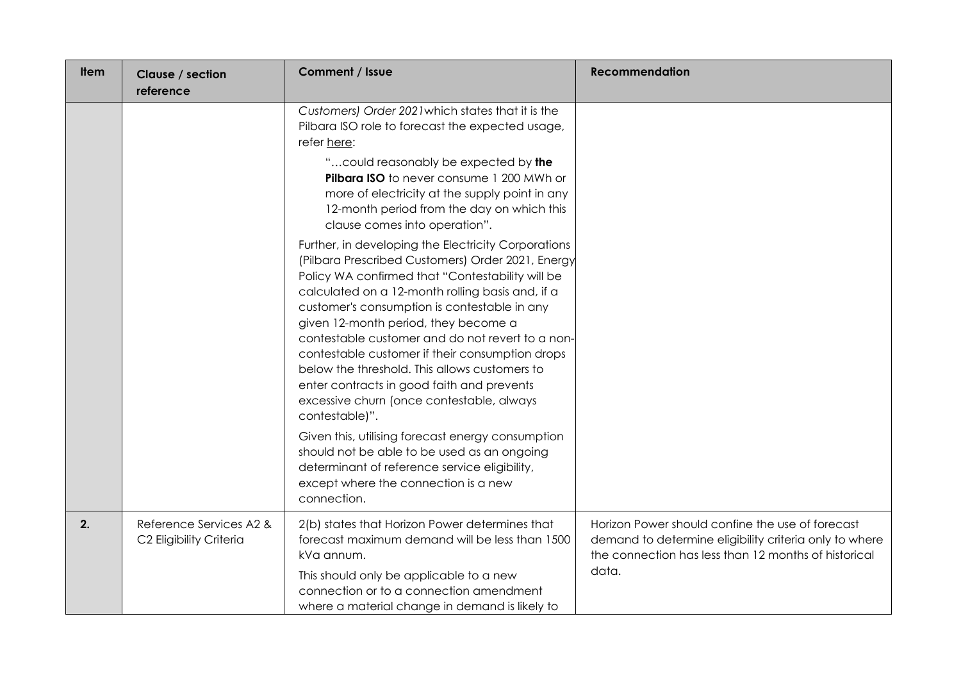| <b>Item</b> | Clause / section<br>reference                      | <b>Comment / Issue</b>                                                                                                                                                                                                                                                                                                                                                                                                                                                                                                                                                        | <b>Recommendation</b>                                                                                                                                                       |
|-------------|----------------------------------------------------|-------------------------------------------------------------------------------------------------------------------------------------------------------------------------------------------------------------------------------------------------------------------------------------------------------------------------------------------------------------------------------------------------------------------------------------------------------------------------------------------------------------------------------------------------------------------------------|-----------------------------------------------------------------------------------------------------------------------------------------------------------------------------|
|             |                                                    | Customers) Order 2021 which states that it is the<br>Pilbara ISO role to forecast the expected usage,<br>refer here:<br>" could reasonably be expected by the<br>Pilbara ISO to never consume 1 200 MWh or<br>more of electricity at the supply point in any<br>12-month period from the day on which this<br>clause comes into operation".                                                                                                                                                                                                                                   |                                                                                                                                                                             |
|             |                                                    | Further, in developing the Electricity Corporations<br>(Pilbara Prescribed Customers) Order 2021, Energy<br>Policy WA confirmed that "Contestability will be<br>calculated on a 12-month rolling basis and, if a<br>customer's consumption is contestable in any<br>given 12-month period, they become a<br>contestable customer and do not revert to a non-<br>contestable customer if their consumption drops<br>below the threshold. This allows customers to<br>enter contracts in good faith and prevents<br>excessive churn (once contestable, always<br>contestable)". |                                                                                                                                                                             |
|             |                                                    | Given this, utilising forecast energy consumption<br>should not be able to be used as an ongoing<br>determinant of reference service eligibility,<br>except where the connection is a new<br>connection.                                                                                                                                                                                                                                                                                                                                                                      |                                                                                                                                                                             |
| 2.          | Reference Services A2 &<br>C2 Eligibility Criteria | 2(b) states that Horizon Power determines that<br>forecast maximum demand will be less than 1500<br>kVa annum.<br>This should only be applicable to a new<br>connection or to a connection amendment<br>where a material change in demand is likely to                                                                                                                                                                                                                                                                                                                        | Horizon Power should confine the use of forecast<br>demand to determine eligibility criteria only to where<br>the connection has less than 12 months of historical<br>data. |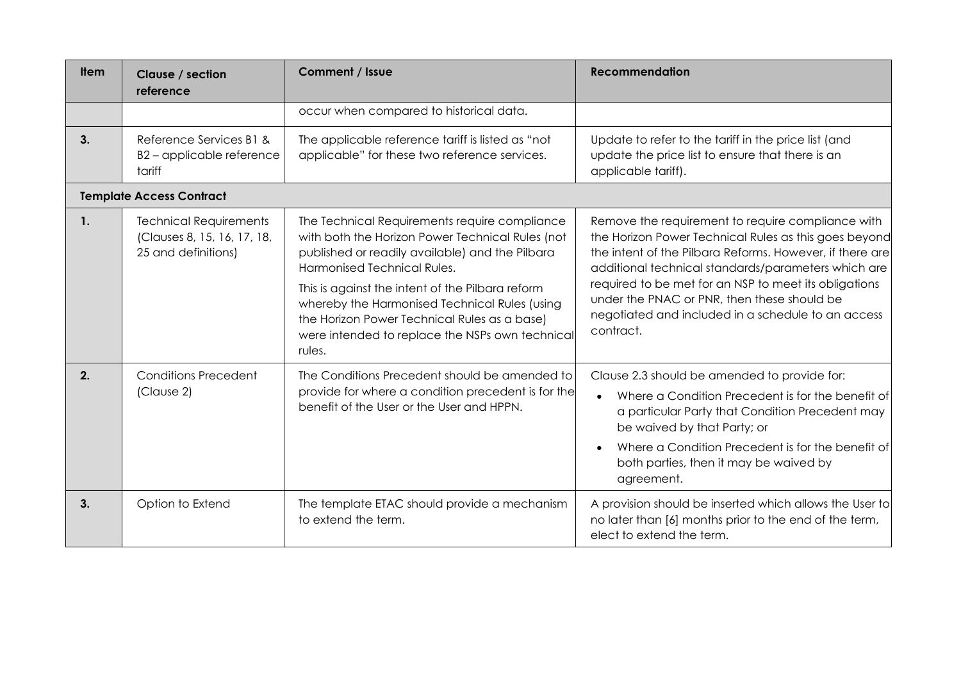| <b>Item</b>    | Clause / section<br>reference                                                       | <b>Comment / Issue</b>                                                                                                                                                                                                                                                                                                                                                                                | <b>Recommendation</b>                                                                                                                                                                                                                                                                                                                                                                                    |
|----------------|-------------------------------------------------------------------------------------|-------------------------------------------------------------------------------------------------------------------------------------------------------------------------------------------------------------------------------------------------------------------------------------------------------------------------------------------------------------------------------------------------------|----------------------------------------------------------------------------------------------------------------------------------------------------------------------------------------------------------------------------------------------------------------------------------------------------------------------------------------------------------------------------------------------------------|
|                |                                                                                     | occur when compared to historical data.                                                                                                                                                                                                                                                                                                                                                               |                                                                                                                                                                                                                                                                                                                                                                                                          |
| 3 <sub>1</sub> | Reference Services B1 &<br>B2-applicable reference<br>tariff                        | The applicable reference tariff is listed as "not<br>applicable" for these two reference services.                                                                                                                                                                                                                                                                                                    | Update to refer to the tariff in the price list (and<br>update the price list to ensure that there is an<br>applicable tariff).                                                                                                                                                                                                                                                                          |
|                | <b>Template Access Contract</b>                                                     |                                                                                                                                                                                                                                                                                                                                                                                                       |                                                                                                                                                                                                                                                                                                                                                                                                          |
| $\mathbf{1}$ . | <b>Technical Requirements</b><br>(Clauses 8, 15, 16, 17, 18,<br>25 and definitions) | The Technical Requirements require compliance<br>with both the Horizon Power Technical Rules (not<br>published or readily available) and the Pilbara<br>Harmonised Technical Rules.<br>This is against the intent of the Pilbara reform<br>whereby the Harmonised Technical Rules (using<br>the Horizon Power Technical Rules as a base)<br>were intended to replace the NSPs own technical<br>rules. | Remove the requirement to require compliance with<br>the Horizon Power Technical Rules as this goes beyond<br>the intent of the Pilbara Reforms. However, if there are<br>additional technical standards/parameters which are<br>required to be met for an NSP to meet its obligations<br>under the PNAC or PNR, then these should be<br>negotiated and included in a schedule to an access<br>contract. |
| 2.             | <b>Conditions Precedent</b><br>(Clause 2)                                           | The Conditions Precedent should be amended to<br>provide for where a condition precedent is for the<br>benefit of the User or the User and HPPN.                                                                                                                                                                                                                                                      | Clause 2.3 should be amended to provide for:<br>Where a Condition Precedent is for the benefit of<br>a particular Party that Condition Precedent may<br>be waived by that Party; or<br>Where a Condition Precedent is for the benefit of<br>both parties, then it may be waived by<br>agreement.                                                                                                         |
| 3.             | Option to Extend                                                                    | The template ETAC should provide a mechanism<br>to extend the term.                                                                                                                                                                                                                                                                                                                                   | A provision should be inserted which allows the User to<br>no later than [6] months prior to the end of the term,<br>elect to extend the term.                                                                                                                                                                                                                                                           |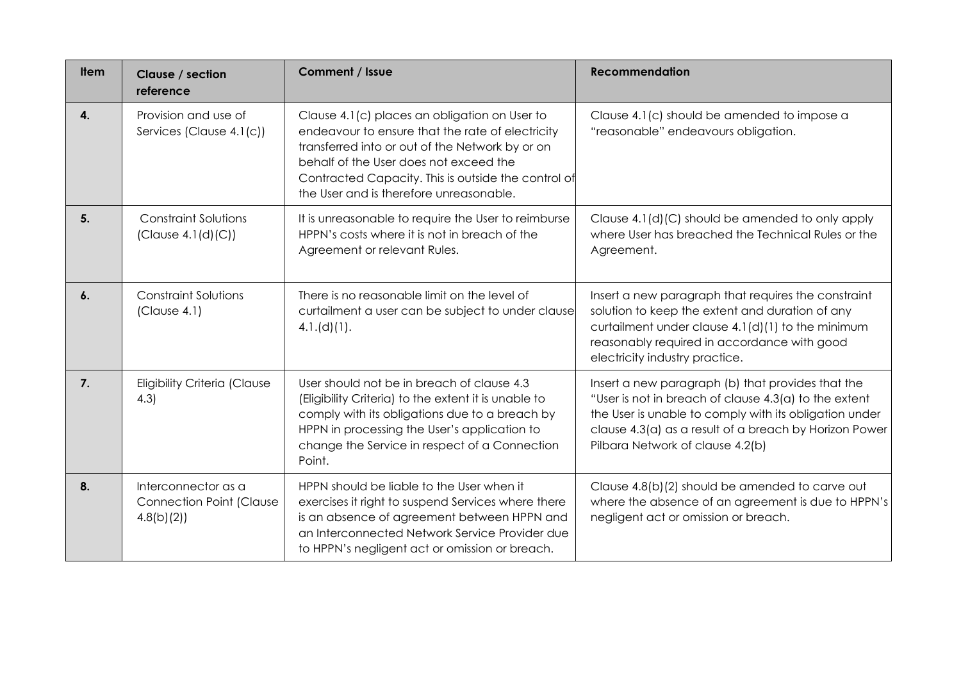| <b>Item</b> | Clause / section<br>reference                                       | Comment / Issue                                                                                                                                                                                                                                                                                  | <b>Recommendation</b>                                                                                                                                                                                                                                              |
|-------------|---------------------------------------------------------------------|--------------------------------------------------------------------------------------------------------------------------------------------------------------------------------------------------------------------------------------------------------------------------------------------------|--------------------------------------------------------------------------------------------------------------------------------------------------------------------------------------------------------------------------------------------------------------------|
| 4.          | Provision and use of<br>Services (Clause 4.1(c))                    | Clause 4.1(c) places an obligation on User to<br>endeavour to ensure that the rate of electricity<br>transferred into or out of the Network by or on<br>behalf of the User does not exceed the<br>Contracted Capacity. This is outside the control of<br>the User and is therefore unreasonable. | Clause 4.1(c) should be amended to impose a<br>"reasonable" endeavours obligation.                                                                                                                                                                                 |
| 5.          | <b>Constraint Solutions</b><br>(Clause 4.1(d)(C))                   | It is unreasonable to require the User to reimburse<br>HPPN's costs where it is not in breach of the<br>Agreement or relevant Rules.                                                                                                                                                             | Clause 4.1(d)(C) should be amended to only apply<br>where User has breached the Technical Rules or the<br>Agreement.                                                                                                                                               |
| 6.          | <b>Constraint Solutions</b><br>(Clause 4.1)                         | There is no reasonable limit on the level of<br>curtailment a user can be subject to under clause<br>4.1.(d)(1).                                                                                                                                                                                 | Insert a new paragraph that requires the constraint<br>solution to keep the extent and duration of any<br>curtailment under clause 4.1(d)(1) to the minimum<br>reasonably required in accordance with good<br>electricity industry practice.                       |
| 7.          | <b>Eligibility Criteria (Clause</b><br>4.3                          | User should not be in breach of clause 4.3<br>(Eligibility Criteria) to the extent it is unable to<br>comply with its obligations due to a breach by<br>HPPN in processing the User's application to<br>change the Service in respect of a Connection<br>Point.                                  | Insert a new paragraph (b) that provides that the<br>"User is not in breach of clause 4.3(a) to the extent<br>the User is unable to comply with its obligation under<br>clause 4.3(a) as a result of a breach by Horizon Power<br>Pilbara Network of clause 4.2(b) |
| 8.          | Interconnector as a<br><b>Connection Point (Clause</b><br>4.8(b)(2) | HPPN should be liable to the User when it<br>exercises it right to suspend Services where there<br>is an absence of agreement between HPPN and<br>an Interconnected Network Service Provider due<br>to HPPN's negligent act or omission or breach.                                               | Clause 4.8(b)(2) should be amended to carve out<br>where the absence of an agreement is due to HPPN's<br>negligent act or omission or breach.                                                                                                                      |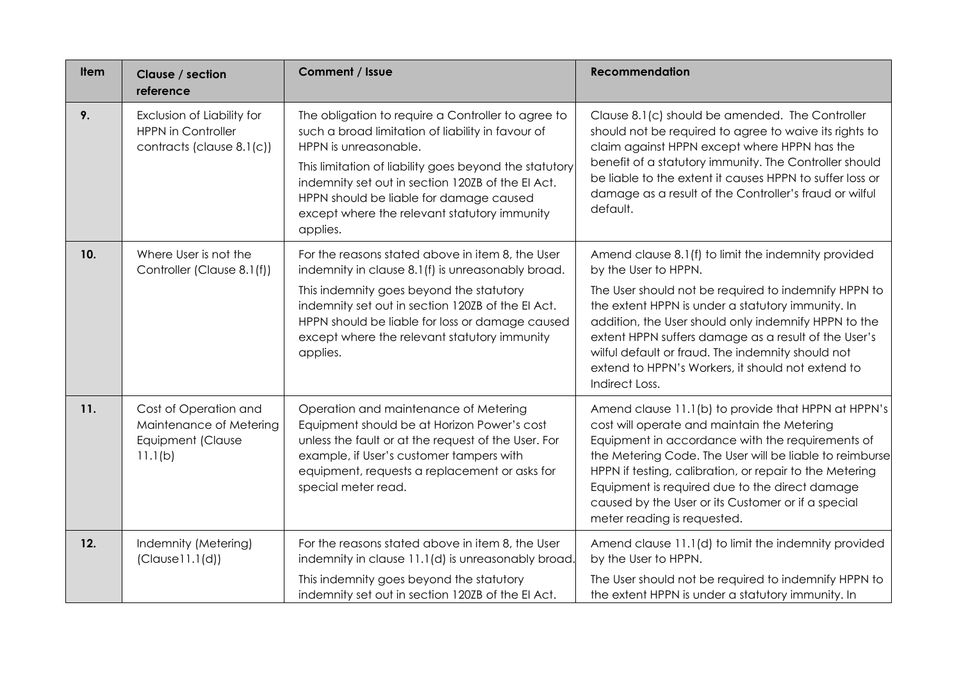| <b>Item</b> | Clause / section<br>reference                                                        | Comment / Issue                                                                                                                                                                                                                                                                                                                                        | <b>Recommendation</b>                                                                                                                                                                                                                                                                                                                                                                                                                |
|-------------|--------------------------------------------------------------------------------------|--------------------------------------------------------------------------------------------------------------------------------------------------------------------------------------------------------------------------------------------------------------------------------------------------------------------------------------------------------|--------------------------------------------------------------------------------------------------------------------------------------------------------------------------------------------------------------------------------------------------------------------------------------------------------------------------------------------------------------------------------------------------------------------------------------|
| 9.          | Exclusion of Liability for<br><b>HPPN in Controller</b><br>contracts (clause 8.1(c)) | The obligation to require a Controller to agree to<br>such a broad limitation of liability in favour of<br>HPPN is unreasonable.<br>This limitation of liability goes beyond the statutory<br>indemnity set out in section 120ZB of the El Act.<br>HPPN should be liable for damage caused<br>except where the relevant statutory immunity<br>applies. | Clause 8.1(c) should be amended. The Controller<br>should not be required to agree to waive its rights to<br>claim against HPPN except where HPPN has the<br>benefit of a statutory immunity. The Controller should<br>be liable to the extent it causes HPPN to suffer loss or<br>damage as a result of the Controller's fraud or wilful<br>default.                                                                                |
| 10.         | Where User is not the<br>Controller (Clause 8.1(f))                                  | For the reasons stated above in item 8, the User<br>indemnity in clause 8.1(f) is unreasonably broad.<br>This indemnity goes beyond the statutory<br>indemnity set out in section 120ZB of the EI Act.<br>HPPN should be liable for loss or damage caused<br>except where the relevant statutory immunity<br>applies.                                  | Amend clause 8.1(f) to limit the indemnity provided<br>by the User to HPPN.<br>The User should not be required to indemnify HPPN to<br>the extent HPPN is under a statutory immunity. In<br>addition, the User should only indemnify HPPN to the<br>extent HPPN suffers damage as a result of the User's<br>wilful default or fraud. The indemnity should not<br>extend to HPPN's Workers, it should not extend to<br>Indirect Loss. |
| 11.         | Cost of Operation and<br>Maintenance of Metering<br>Equipment (Clause<br>11.1(b)     | Operation and maintenance of Metering<br>Equipment should be at Horizon Power's cost<br>unless the fault or at the request of the User. For<br>example, if User's customer tampers with<br>equipment, requests a replacement or asks for<br>special meter read.                                                                                        | Amend clause 11.1(b) to provide that HPPN at HPPN's<br>cost will operate and maintain the Metering<br>Equipment in accordance with the requirements of<br>the Metering Code. The User will be liable to reimburse<br>HPPN if testing, calibration, or repair to the Metering<br>Equipment is required due to the direct damage<br>caused by the User or its Customer or if a special<br>meter reading is requested.                  |
| 12.         | Indemnity (Metering)<br>(Clause11.1(d))                                              | For the reasons stated above in item 8, the User<br>indemnity in clause 11.1(d) is unreasonably broad.<br>This indemnity goes beyond the statutory<br>indemnity set out in section 120ZB of the EI Act.                                                                                                                                                | Amend clause 11.1(d) to limit the indemnity provided<br>by the User to HPPN.<br>The User should not be required to indemnify HPPN to<br>the extent HPPN is under a statutory immunity. In                                                                                                                                                                                                                                            |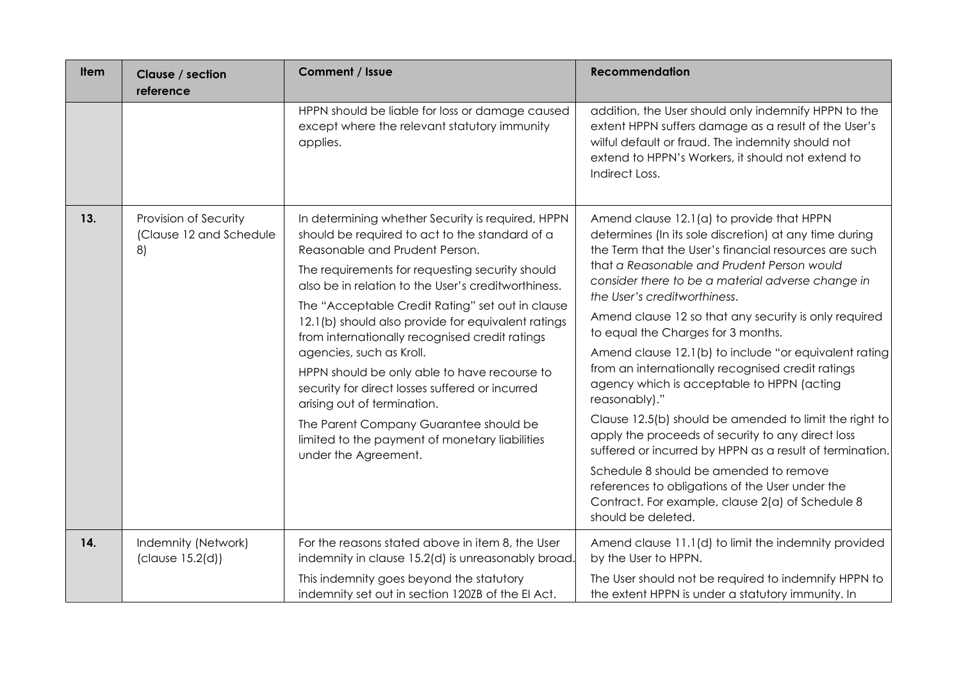| <b>Item</b> | Clause / section<br>reference                          | Comment / Issue                                                                                                                                                                                                                                                                                                                                                                                                                                                                                                                                                                                                                                                                               | <b>Recommendation</b>                                                                                                                                                                                                                                                                                                                                                                                                                                                                                                                                                                                                                                                                                                                                                                                                                                                                                                         |
|-------------|--------------------------------------------------------|-----------------------------------------------------------------------------------------------------------------------------------------------------------------------------------------------------------------------------------------------------------------------------------------------------------------------------------------------------------------------------------------------------------------------------------------------------------------------------------------------------------------------------------------------------------------------------------------------------------------------------------------------------------------------------------------------|-------------------------------------------------------------------------------------------------------------------------------------------------------------------------------------------------------------------------------------------------------------------------------------------------------------------------------------------------------------------------------------------------------------------------------------------------------------------------------------------------------------------------------------------------------------------------------------------------------------------------------------------------------------------------------------------------------------------------------------------------------------------------------------------------------------------------------------------------------------------------------------------------------------------------------|
|             |                                                        | HPPN should be liable for loss or damage caused<br>except where the relevant statutory immunity<br>applies.                                                                                                                                                                                                                                                                                                                                                                                                                                                                                                                                                                                   | addition, the User should only indemnify HPPN to the<br>extent HPPN suffers damage as a result of the User's<br>wilful default or fraud. The indemnity should not<br>extend to HPPN's Workers, it should not extend to<br>Indirect Loss.                                                                                                                                                                                                                                                                                                                                                                                                                                                                                                                                                                                                                                                                                      |
| 13.         | Provision of Security<br>(Clause 12 and Schedule<br>8) | In determining whether Security is required, HPPN<br>should be required to act to the standard of a<br>Reasonable and Prudent Person.<br>The requirements for requesting security should<br>also be in relation to the User's creditworthiness.<br>The "Acceptable Credit Rating" set out in clause<br>12.1(b) should also provide for equivalent ratings<br>from internationally recognised credit ratings<br>agencies, such as Kroll.<br>HPPN should be only able to have recourse to<br>security for direct losses suffered or incurred<br>arising out of termination.<br>The Parent Company Guarantee should be<br>limited to the payment of monetary liabilities<br>under the Agreement. | Amend clause 12.1(a) to provide that HPPN<br>determines (In its sole discretion) at any time during<br>the Term that the User's financial resources are such<br>that a Reasonable and Prudent Person would<br>consider there to be a material adverse change in<br>the User's creditworthiness.<br>Amend clause 12 so that any security is only required<br>to equal the Charges for 3 months.<br>Amend clause 12.1(b) to include "or equivalent rating<br>from an internationally recognised credit ratings<br>agency which is acceptable to HPPN (acting<br>reasonably)."<br>Clause 12.5(b) should be amended to limit the right to<br>apply the proceeds of security to any direct loss<br>suffered or incurred by HPPN as a result of termination.<br>Schedule 8 should be amended to remove<br>references to obligations of the User under the<br>Contract. For example, clause 2(a) of Schedule 8<br>should be deleted. |
| 14.         | Indemnity (Network)<br>(clause 15.2(d))                | For the reasons stated above in item 8, the User<br>indemnity in clause 15.2(d) is unreasonably broad.<br>This indemnity goes beyond the statutory<br>indemnity set out in section 120ZB of the EI Act.                                                                                                                                                                                                                                                                                                                                                                                                                                                                                       | Amend clause 11.1(d) to limit the indemnity provided<br>by the User to HPPN.<br>The User should not be required to indemnify HPPN to<br>the extent HPPN is under a statutory immunity. In                                                                                                                                                                                                                                                                                                                                                                                                                                                                                                                                                                                                                                                                                                                                     |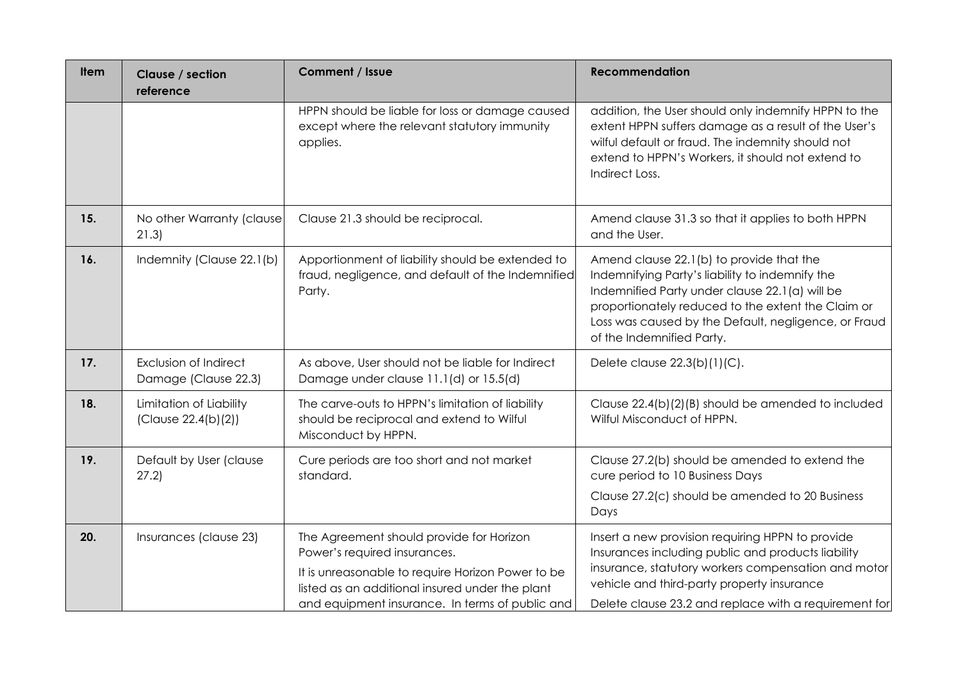| Item | Clause / section<br>reference                  | Comment / Issue                                                                                                                                                                                                                     | <b>Recommendation</b>                                                                                                                                                                                                                                                                    |
|------|------------------------------------------------|-------------------------------------------------------------------------------------------------------------------------------------------------------------------------------------------------------------------------------------|------------------------------------------------------------------------------------------------------------------------------------------------------------------------------------------------------------------------------------------------------------------------------------------|
|      |                                                | HPPN should be liable for loss or damage caused<br>except where the relevant statutory immunity<br>applies.                                                                                                                         | addition, the User should only indemnify HPPN to the<br>extent HPPN suffers damage as a result of the User's<br>wilful default or fraud. The indemnity should not<br>extend to HPPN's Workers, it should not extend to<br>Indirect Loss.                                                 |
| 15.  | No other Warranty (clause)<br>21.3)            | Clause 21.3 should be reciprocal.                                                                                                                                                                                                   | Amend clause 31.3 so that it applies to both HPPN<br>and the User.                                                                                                                                                                                                                       |
| 16.  | Indemnity (Clause 22.1(b)                      | Apportionment of liability should be extended to<br>fraud, negligence, and default of the Indemnified<br>Party.                                                                                                                     | Amend clause 22.1(b) to provide that the<br>Indemnifying Party's liability to indemnify the<br>Indemnified Party under clause 22.1(a) will be<br>proportionately reduced to the extent the Claim or<br>Loss was caused by the Default, negligence, or Fraud<br>of the Indemnified Party. |
| 17.  | Exclusion of Indirect<br>Damage (Clause 22.3)  | As above, User should not be liable for Indirect<br>Damage under clause 11.1(d) or 15.5(d)                                                                                                                                          | Delete clause 22.3(b)(1)(C).                                                                                                                                                                                                                                                             |
| 18.  | Limitation of Liability<br>(Clause 22.4(b)(2)) | The carve-outs to HPPN's limitation of liability<br>should be reciprocal and extend to Wilful<br>Misconduct by HPPN.                                                                                                                | Clause 22.4(b)(2)(B) should be amended to included<br>Wilful Misconduct of HPPN.                                                                                                                                                                                                         |
| 19.  | Default by User (clause<br>27.2)               | Cure periods are too short and not market<br>standard.                                                                                                                                                                              | Clause 27.2(b) should be amended to extend the<br>cure period to 10 Business Days<br>Clause 27.2(c) should be amended to 20 Business<br>Days                                                                                                                                             |
| 20.  | Insurances (clause 23)                         | The Agreement should provide for Horizon<br>Power's required insurances.<br>It is unreasonable to require Horizon Power to be<br>listed as an additional insured under the plant<br>and equipment insurance. In terms of public and | Insert a new provision requiring HPPN to provide<br>Insurances including public and products liability<br>insurance, statutory workers compensation and motor<br>vehicle and third-party property insurance<br>Delete clause 23.2 and replace with a requirement for                     |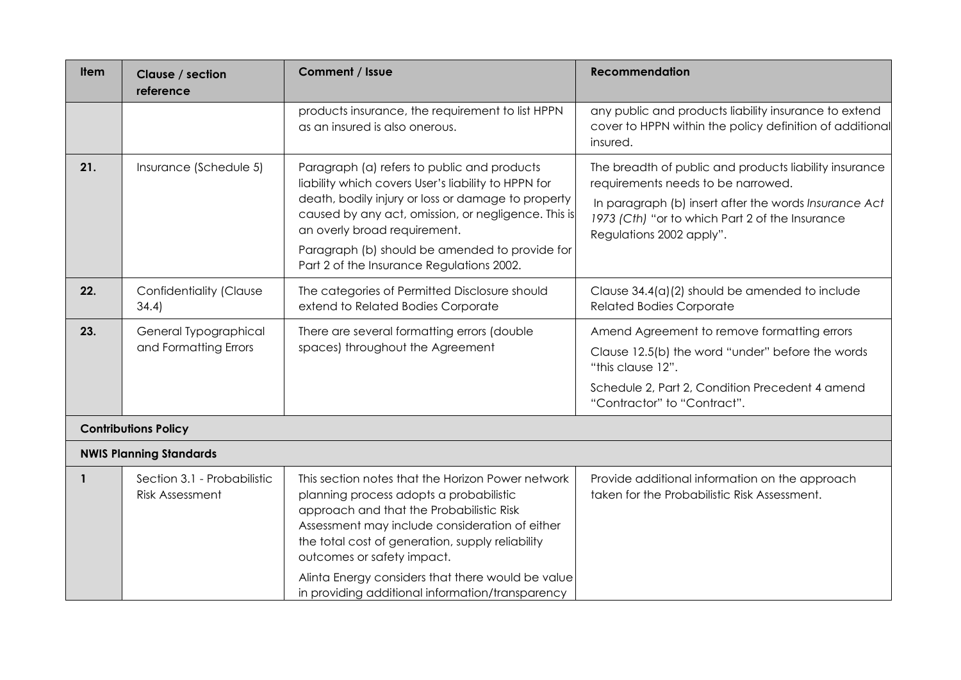| <b>Item</b>  | Clause / section<br>reference                         | Comment / Issue                                                                                                                                                                                                                                                                                                                                                                       | <b>Recommendation</b>                                                                                                                                                                                                                |
|--------------|-------------------------------------------------------|---------------------------------------------------------------------------------------------------------------------------------------------------------------------------------------------------------------------------------------------------------------------------------------------------------------------------------------------------------------------------------------|--------------------------------------------------------------------------------------------------------------------------------------------------------------------------------------------------------------------------------------|
|              |                                                       | products insurance, the requirement to list HPPN<br>as an insured is also onerous.                                                                                                                                                                                                                                                                                                    | any public and products liability insurance to extend<br>cover to HPPN within the policy definition of additional<br>insured.                                                                                                        |
| 21.          | Insurance (Schedule 5)                                | Paragraph (a) refers to public and products<br>liability which covers User's liability to HPPN for<br>death, bodily injury or loss or damage to property<br>caused by any act, omission, or negligence. This is<br>an overly broad requirement.<br>Paragraph (b) should be amended to provide for<br>Part 2 of the Insurance Regulations 2002.                                        | The breadth of public and products liability insurance<br>requirements needs to be narrowed.<br>In paragraph (b) insert after the words Insurance Act<br>1973 (Cth) "or to which Part 2 of the Insurance<br>Regulations 2002 apply". |
| 22.          | Confidentiality (Clause<br>34.4)                      | The categories of Permitted Disclosure should<br>extend to Related Bodies Corporate                                                                                                                                                                                                                                                                                                   | Clause $34.4(a)(2)$ should be amended to include<br><b>Related Bodies Corporate</b>                                                                                                                                                  |
| 23.          | General Typographical<br>and Formatting Errors        | There are several formatting errors (double<br>spaces) throughout the Agreement                                                                                                                                                                                                                                                                                                       | Amend Agreement to remove formatting errors<br>Clause 12.5(b) the word "under" before the words<br>"this clause 12".<br>Schedule 2, Part 2, Condition Precedent 4 amend<br>"Contractor" to "Contract".                               |
|              | <b>Contributions Policy</b>                           |                                                                                                                                                                                                                                                                                                                                                                                       |                                                                                                                                                                                                                                      |
|              | <b>NWIS Planning Standards</b>                        |                                                                                                                                                                                                                                                                                                                                                                                       |                                                                                                                                                                                                                                      |
| $\mathbf{1}$ | Section 3.1 - Probabilistic<br><b>Risk Assessment</b> | This section notes that the Horizon Power network<br>planning process adopts a probabilistic<br>approach and that the Probabilistic Risk<br>Assessment may include consideration of either<br>the total cost of generation, supply reliability<br>outcomes or safety impact.<br>Alinta Energy considers that there would be value<br>in providing additional information/transparency | Provide additional information on the approach<br>taken for the Probabilistic Risk Assessment.                                                                                                                                       |